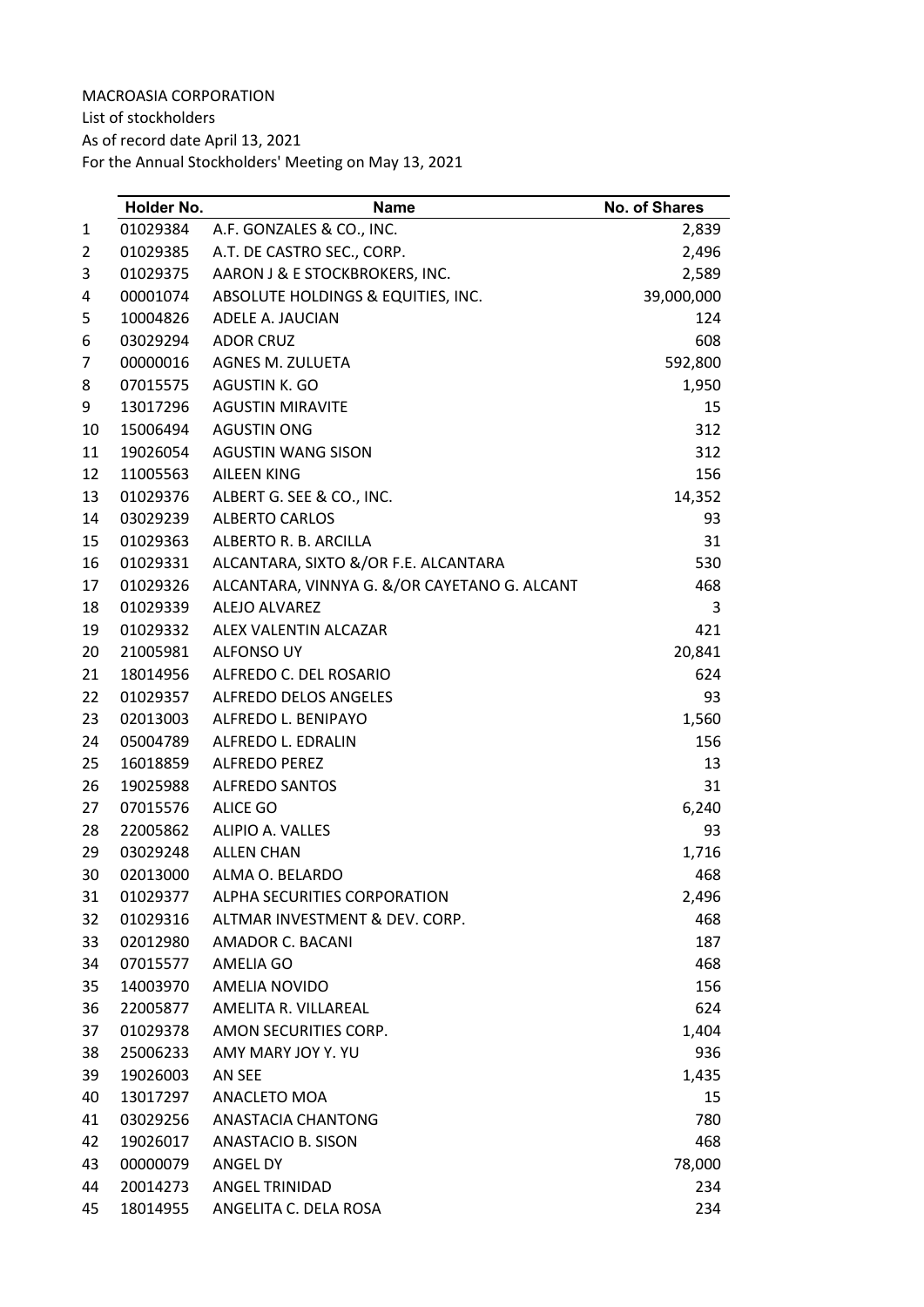List of stockholders

As of record date April 13, 2021

|    | Holder No. | Name                                         | No. of Shares |
|----|------------|----------------------------------------------|---------------|
| 1  | 01029384   | A.F. GONZALES & CO., INC.                    | 2,839         |
| 2  | 01029385   | A.T. DE CASTRO SEC., CORP.                   | 2,496         |
| 3  | 01029375   | AARON J & E STOCKBROKERS, INC.               | 2,589         |
| 4  | 00001074   | ABSOLUTE HOLDINGS & EQUITIES, INC.           | 39,000,000    |
| 5  | 10004826   | ADELE A. JAUCIAN                             | 124           |
| 6  | 03029294   | ADOR CRUZ                                    | 608           |
| 7  | 00000016   | AGNES M. ZULUETA                             | 592,800       |
| 8  | 07015575   | AGUSTIN K. GO                                | 1,950         |
| 9  | 13017296   | <b>AGUSTIN MIRAVITE</b>                      | 15            |
| 10 | 15006494   | <b>AGUSTIN ONG</b>                           | 312           |
| 11 | 19026054   | AGUSTIN WANG SISON                           | 312           |
| 12 | 11005563   | AILEEN KING                                  | 156           |
| 13 | 01029376   | ALBERT G. SEE & CO., INC.                    | 14,352        |
| 14 | 03029239   | <b>ALBERTO CARLOS</b>                        | 93            |
| 15 | 01029363   | ALBERTO R. B. ARCILLA                        | 31            |
| 16 | 01029331   | ALCANTARA, SIXTO &/OR F.E. ALCANTARA         | 530           |
| 17 | 01029326   | ALCANTARA, VINNYA G. &/OR CAYETANO G. ALCANT | 468           |
| 18 | 01029339   | ALEJO ALVAREZ                                | 3             |
| 19 | 01029332   | ALEX VALENTIN ALCAZAR                        | 421           |
| 20 | 21005981   | ALFONSO UY                                   | 20,841        |
| 21 | 18014956   | ALFREDO C. DEL ROSARIO                       | 624           |
| 22 | 01029357   | ALFREDO DELOS ANGELES                        | 93            |
| 23 | 02013003   | ALFREDO L. BENIPAYO                          | 1,560         |
| 24 | 05004789   | ALFREDO L. EDRALIN                           | 156           |
| 25 | 16018859   | ALFREDO PEREZ                                | 13            |
| 26 | 19025988   | <b>ALFREDO SANTOS</b>                        | 31            |
| 27 | 07015576   | <b>ALICE GO</b>                              | 6,240         |
| 28 | 22005862   | ALIPIO A. VALLES                             | 93            |
| 29 | 03029248   | <b>ALLEN CHAN</b>                            | 1,716         |
| 30 | 02013000   | ALMA O. BELARDO                              | 468           |
| 31 | 01029377   | ALPHA SECURITIES CORPORATION                 | 2,496         |
| 32 | 01029316   | ALTMAR INVESTMENT & DEV. CORP.               | 468           |
| 33 | 02012980   | AMADOR C. BACANI                             | 187           |
| 34 | 07015577   | AMELIA GO                                    | 468           |
| 35 | 14003970   | AMELIA NOVIDO                                | 156           |
| 36 | 22005877   | AMELITA R. VILLAREAL                         | 624           |
| 37 | 01029378   | AMON SECURITIES CORP.                        | 1,404         |
| 38 | 25006233   | AMY MARY JOY Y. YU                           | 936           |
| 39 | 19026003   | AN SEE                                       | 1,435         |
| 40 | 13017297   | ANACLETO MOA                                 | 15            |
| 41 | 03029256   | ANASTACIA CHANTONG                           | 780           |
| 42 | 19026017   | ANASTACIO B. SISON                           | 468           |
| 43 | 00000079   | ANGEL DY                                     | 78,000        |
| 44 | 20014273   | ANGEL TRINIDAD                               | 234           |
| 45 | 18014955   | ANGELITA C. DELA ROSA                        | 234           |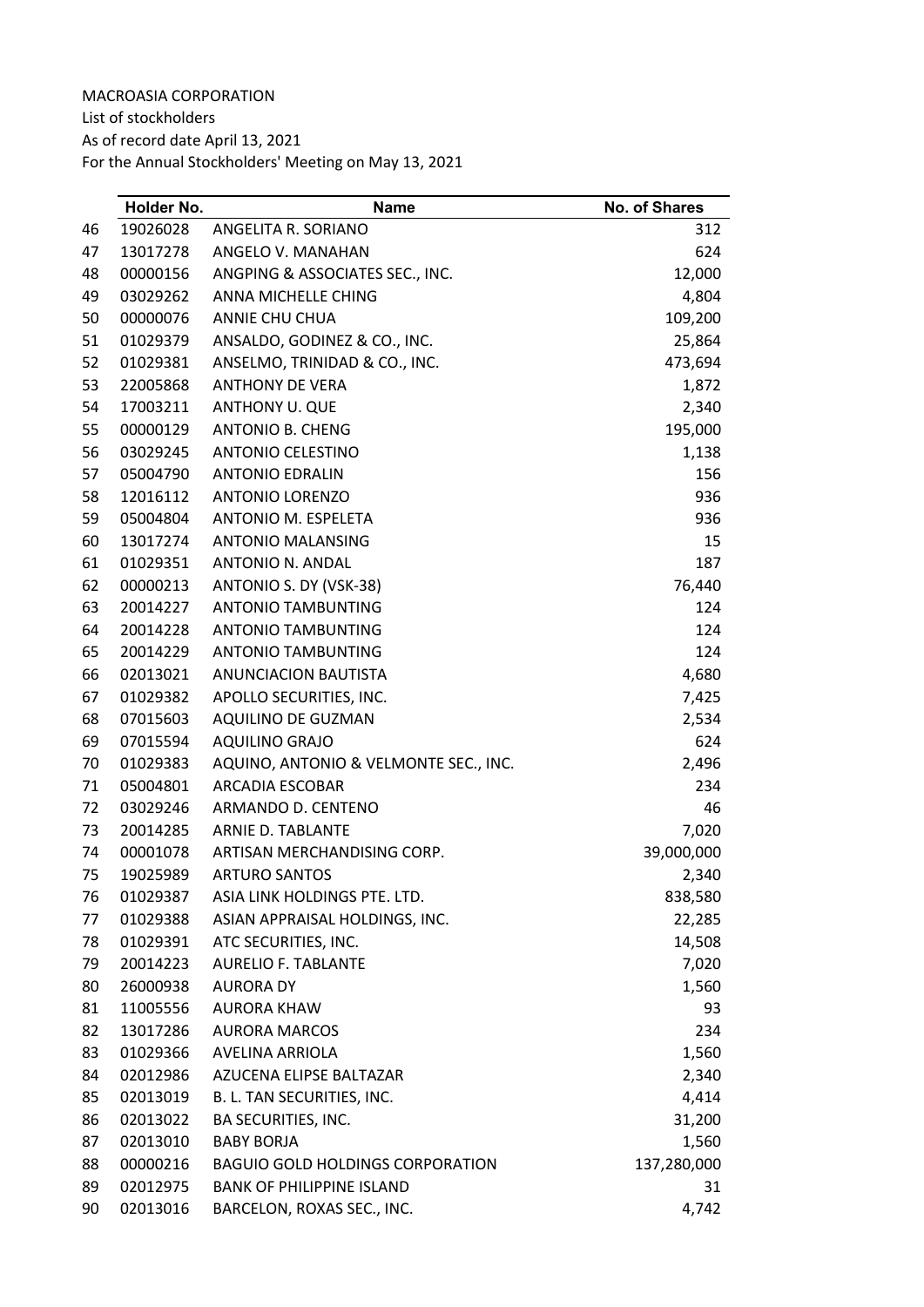List of stockholders

As of record date April 13, 2021

|    | Holder No. | Name                                    | <b>No. of Shares</b> |
|----|------------|-----------------------------------------|----------------------|
| 46 | 19026028   | ANGELITA R. SORIANO                     | 312                  |
| 47 | 13017278   | ANGELO V. MANAHAN                       | 624                  |
| 48 | 00000156   | ANGPING & ASSOCIATES SEC., INC.         | 12,000               |
| 49 | 03029262   | ANNA MICHELLE CHING                     | 4,804                |
| 50 | 00000076   | ANNIE CHU CHUA                          | 109,200              |
| 51 | 01029379   | ANSALDO, GODINEZ & CO., INC.            | 25,864               |
| 52 | 01029381   | ANSELMO, TRINIDAD & CO., INC.           | 473,694              |
| 53 | 22005868   | <b>ANTHONY DE VERA</b>                  | 1,872                |
| 54 | 17003211   | ANTHONY U. QUE                          | 2,340                |
| 55 | 00000129   | <b>ANTONIO B. CHENG</b>                 | 195,000              |
| 56 | 03029245   | <b>ANTONIO CELESTINO</b>                | 1,138                |
| 57 | 05004790   | <b>ANTONIO EDRALIN</b>                  | 156                  |
| 58 | 12016112   | <b>ANTONIO LORENZO</b>                  | 936                  |
| 59 | 05004804   | ANTONIO M. ESPELETA                     | 936                  |
| 60 | 13017274   | <b>ANTONIO MALANSING</b>                | 15                   |
| 61 | 01029351   | <b>ANTONIO N. ANDAL</b>                 | 187                  |
| 62 | 00000213   | ANTONIO S. DY (VSK-38)                  | 76,440               |
| 63 | 20014227   | <b>ANTONIO TAMBUNTING</b>               | 124                  |
| 64 | 20014228   | <b>ANTONIO TAMBUNTING</b>               | 124                  |
| 65 | 20014229   | <b>ANTONIO TAMBUNTING</b>               | 124                  |
| 66 | 02013021   | <b>ANUNCIACION BAUTISTA</b>             | 4,680                |
| 67 | 01029382   | APOLLO SECURITIES, INC.                 | 7,425                |
| 68 | 07015603   | AQUILINO DE GUZMAN                      | 2,534                |
| 69 | 07015594   | <b>AQUILINO GRAJO</b>                   | 624                  |
| 70 | 01029383   | AQUINO, ANTONIO & VELMONTE SEC., INC.   | 2,496                |
| 71 | 05004801   | ARCADIA ESCOBAR                         | 234                  |
| 72 | 03029246   | ARMANDO D. CENTENO                      | 46                   |
| 73 | 20014285   | ARNIE D. TABLANTE                       | 7,020                |
| 74 | 00001078   | ARTISAN MERCHANDISING CORP.             | 39,000,000           |
| 75 | 19025989   | <b>ARTURO SANTOS</b>                    | 2,340                |
| 76 | 01029387   | ASIA LINK HOLDINGS PTE. LTD.            | 838,580              |
| 77 | 01029388   | ASIAN APPRAISAL HOLDINGS, INC.          | 22,285               |
| 78 | 01029391   | ATC SECURITIES, INC.                    | 14,508               |
| 79 | 20014223   | <b>AURELIO F. TABLANTE</b>              | 7,020                |
| 80 | 26000938   | <b>AURORA DY</b>                        | 1,560                |
| 81 | 11005556   | <b>AURORA KHAW</b>                      | 93                   |
| 82 | 13017286   | <b>AURORA MARCOS</b>                    | 234                  |
| 83 | 01029366   | AVELINA ARRIOLA                         | 1,560                |
| 84 | 02012986   | AZUCENA ELIPSE BALTAZAR                 | 2,340                |
| 85 | 02013019   | B. L. TAN SECURITIES, INC.              | 4,414                |
| 86 | 02013022   | BA SECURITIES, INC.                     | 31,200               |
| 87 | 02013010   | <b>BABY BORJA</b>                       | 1,560                |
| 88 | 00000216   | <b>BAGUIO GOLD HOLDINGS CORPORATION</b> | 137,280,000          |
| 89 | 02012975   | <b>BANK OF PHILIPPINE ISLAND</b>        | 31                   |
| 90 | 02013016   | BARCELON, ROXAS SEC., INC.              | 4,742                |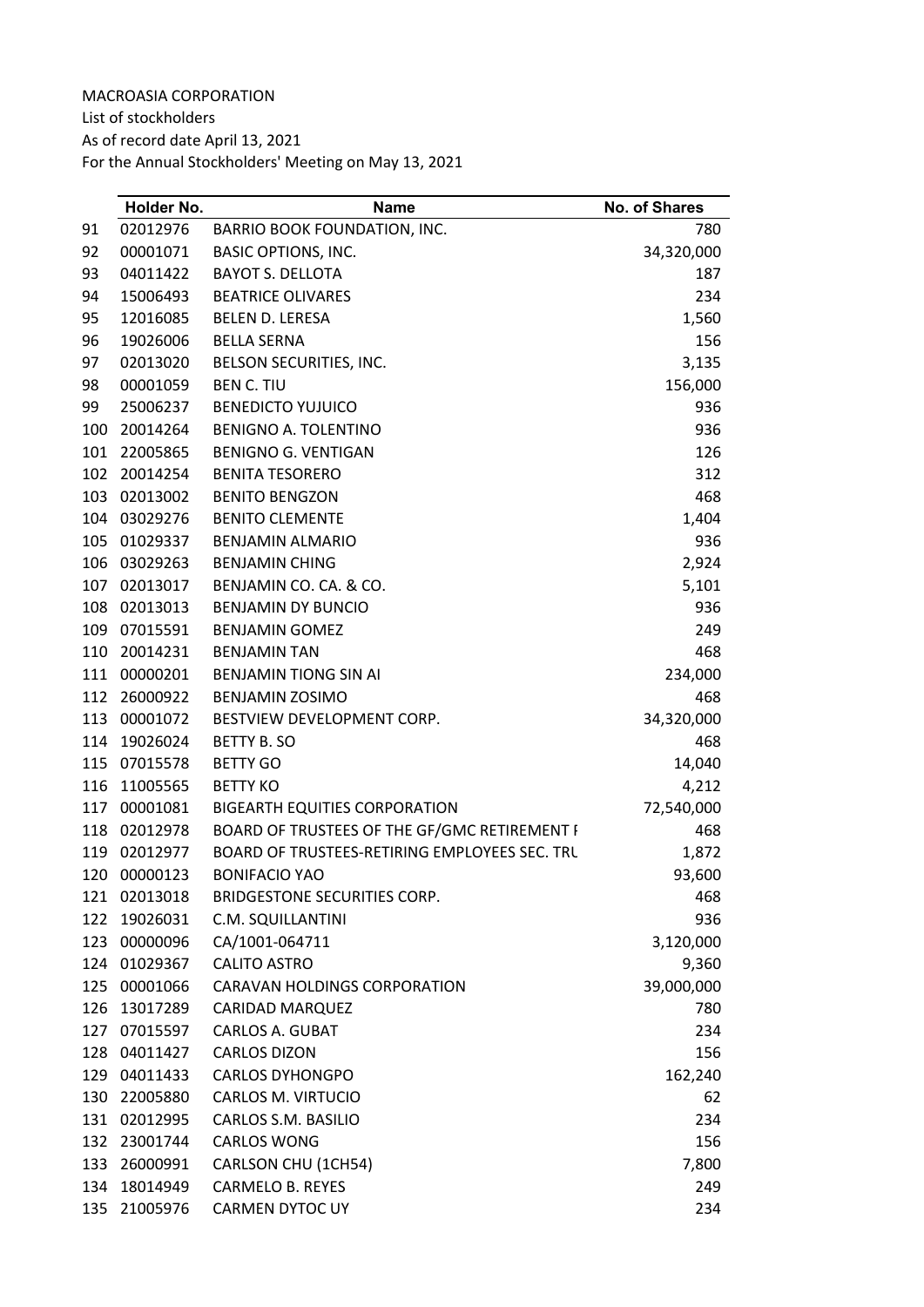List of stockholders

As of record date April 13, 2021

|     | Holder No.   | <b>Name</b>                                   | <b>No. of Shares</b> |
|-----|--------------|-----------------------------------------------|----------------------|
| 91  | 02012976     | BARRIO BOOK FOUNDATION, INC.                  | 780                  |
| 92  | 00001071     | <b>BASIC OPTIONS, INC.</b>                    | 34,320,000           |
| 93  | 04011422     | <b>BAYOT S. DELLOTA</b>                       | 187                  |
| 94  | 15006493     | <b>BEATRICE OLIVARES</b>                      | 234                  |
| 95  | 12016085     | <b>BELEN D. LERESA</b>                        | 1,560                |
| 96  | 19026006     | <b>BELLA SERNA</b>                            | 156                  |
| 97  | 02013020     | BELSON SECURITIES, INC.                       | 3,135                |
| 98  | 00001059     | <b>BEN C. TIU</b>                             | 156,000              |
| 99  | 25006237     | <b>BENEDICTO YUJUICO</b>                      | 936                  |
| 100 | 20014264     | <b>BENIGNO A. TOLENTINO</b>                   | 936                  |
| 101 | 22005865     | <b>BENIGNO G. VENTIGAN</b>                    | 126                  |
| 102 | 20014254     | <b>BENITA TESORERO</b>                        | 312                  |
| 103 | 02013002     | <b>BENITO BENGZON</b>                         | 468                  |
| 104 | 03029276     | <b>BENITO CLEMENTE</b>                        | 1,404                |
| 105 | 01029337     | <b>BENJAMIN ALMARIO</b>                       | 936                  |
| 106 | 03029263     | <b>BENJAMIN CHING</b>                         | 2,924                |
| 107 | 02013017     | BENJAMIN CO. CA. & CO.                        | 5,101                |
| 108 | 02013013     | <b>BENJAMIN DY BUNCIO</b>                     | 936                  |
| 109 | 07015591     | <b>BENJAMIN GOMEZ</b>                         | 249                  |
| 110 | 20014231     | <b>BENJAMIN TAN</b>                           | 468                  |
| 111 | 00000201     | <b>BENJAMIN TIONG SIN AI</b>                  | 234,000              |
| 112 | 26000922     | <b>BENJAMIN ZOSIMO</b>                        | 468                  |
| 113 | 00001072     | BESTVIEW DEVELOPMENT CORP.                    | 34,320,000           |
| 114 | 19026024     | <b>BETTY B. SO</b>                            | 468                  |
| 115 | 07015578     | <b>BETTY GO</b>                               | 14,040               |
| 116 | 11005565     | <b>BETTY KO</b>                               | 4,212                |
| 117 | 00001081     | <b>BIGEARTH EQUITIES CORPORATION</b>          | 72,540,000           |
| 118 | 02012978     | BOARD OF TRUSTEES OF THE GF/GMC RETIREMENT I  | 468                  |
| 119 | 02012977     | BOARD OF TRUSTEES-RETIRING EMPLOYEES SEC. TRU | 1,872                |
| 120 | 00000123     | <b>BONIFACIO YAO</b>                          | 93,600               |
| 121 | 02013018     | BRIDGESTONE SECURITIES CORP.                  | 468                  |
| 122 | 19026031     | C.M. SQUILLANTINI                             | 936                  |
| 123 | 00000096     | CA/1001-064711                                | 3,120,000            |
|     | 124 01029367 | <b>CALITO ASTRO</b>                           | 9,360                |
| 125 | 00001066     | CARAVAN HOLDINGS CORPORATION                  | 39,000,000           |
| 126 | 13017289     | <b>CARIDAD MARQUEZ</b>                        | 780                  |
| 127 | 07015597     | <b>CARLOS A. GUBAT</b>                        | 234                  |
| 128 | 04011427     | <b>CARLOS DIZON</b>                           | 156                  |
| 129 | 04011433     | <b>CARLOS DYHONGPO</b>                        | 162,240              |
| 130 | 22005880     | CARLOS M. VIRTUCIO                            | 62                   |
| 131 | 02012995     | CARLOS S.M. BASILIO                           | 234                  |
| 132 | 23001744     | <b>CARLOS WONG</b>                            | 156                  |
| 133 | 26000991     | CARLSON CHU (1CH54)                           | 7,800                |
| 134 | 18014949     | <b>CARMELO B. REYES</b>                       | 249                  |
| 135 | 21005976     | CARMEN DYTOC UY                               | 234                  |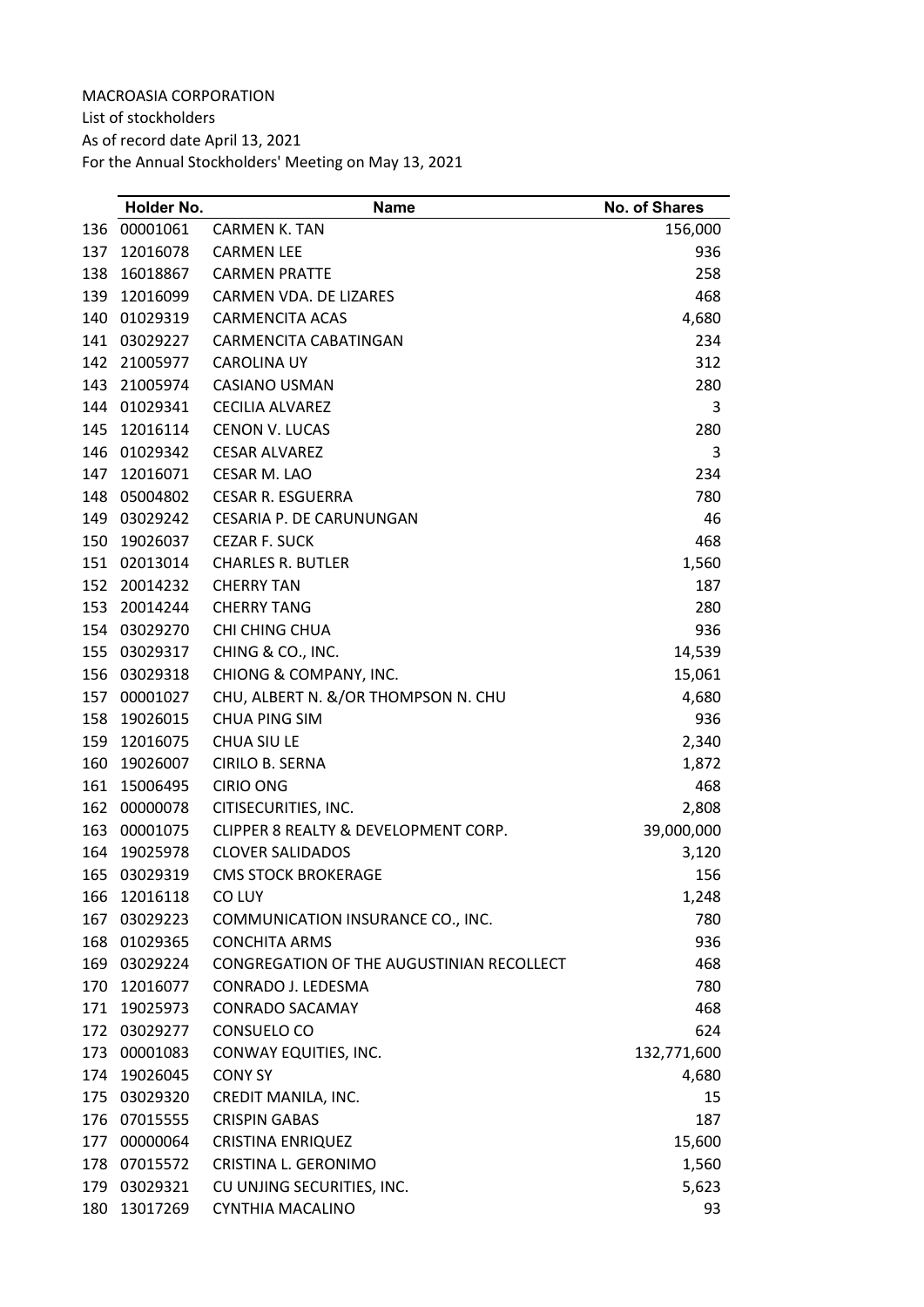List of stockholders As of record date April 13, 2021 For the Annual Stockholders' Meeting on May 13, 2021

| 00001061<br><b>CARMEN K. TAN</b><br>136<br>12016078<br>137<br><b>CARMEN LEE</b><br>16018867<br><b>CARMEN PRATTE</b><br>138<br>139<br>12016099<br>CARMEN VDA. DE LIZARES<br>140<br>01029319<br><b>CARMENCITA ACAS</b> | 156,000<br>936<br>258<br>468<br>4,680<br>234<br>312<br>280<br>3<br>280 |
|----------------------------------------------------------------------------------------------------------------------------------------------------------------------------------------------------------------------|------------------------------------------------------------------------|
|                                                                                                                                                                                                                      |                                                                        |
|                                                                                                                                                                                                                      |                                                                        |
|                                                                                                                                                                                                                      |                                                                        |
|                                                                                                                                                                                                                      |                                                                        |
|                                                                                                                                                                                                                      |                                                                        |
| 141<br>03029227<br>CARMENCITA CABATINGAN                                                                                                                                                                             |                                                                        |
| 142<br>21005977<br><b>CAROLINA UY</b>                                                                                                                                                                                |                                                                        |
| 143<br>21005974<br>CASIANO USMAN                                                                                                                                                                                     |                                                                        |
| 144<br>01029341<br><b>CECILIA ALVAREZ</b>                                                                                                                                                                            |                                                                        |
| 12016114<br><b>CENON V. LUCAS</b><br>145                                                                                                                                                                             |                                                                        |
| 146<br>01029342<br><b>CESAR ALVAREZ</b>                                                                                                                                                                              | 3                                                                      |
| 12016071<br>147<br>CESAR M. LAO                                                                                                                                                                                      | 234                                                                    |
| 148<br>05004802<br><b>CESAR R. ESGUERRA</b>                                                                                                                                                                          | 780                                                                    |
| 149<br>03029242<br><b>CESARIA P. DE CARUNUNGAN</b>                                                                                                                                                                   | 46                                                                     |
| 19026037<br>150<br><b>CEZAR F. SUCK</b>                                                                                                                                                                              | 468                                                                    |
| 151<br>02013014<br><b>CHARLES R. BUTLER</b>                                                                                                                                                                          | 1,560                                                                  |
| 152<br>20014232<br><b>CHERRY TAN</b>                                                                                                                                                                                 | 187                                                                    |
| 153<br>20014244<br><b>CHERRY TANG</b>                                                                                                                                                                                | 280                                                                    |
| 154 03029270<br>CHI CHING CHUA                                                                                                                                                                                       | 936                                                                    |
| 155<br>CHING & CO., INC.<br>03029317                                                                                                                                                                                 | 14,539                                                                 |
| 156<br>03029318<br>CHIONG & COMPANY, INC.                                                                                                                                                                            | 15,061                                                                 |
| 157 00001027<br>CHU, ALBERT N. &/OR THOMPSON N. CHU                                                                                                                                                                  | 4,680                                                                  |
| 19026015<br><b>CHUA PING SIM</b><br>158                                                                                                                                                                              | 936                                                                    |
| 12016075<br><b>CHUA SIU LE</b><br>159                                                                                                                                                                                | 2,340                                                                  |
| 160<br>19026007<br>CIRILO B. SERNA                                                                                                                                                                                   | 1,872                                                                  |
| 161<br>15006495<br><b>CIRIO ONG</b>                                                                                                                                                                                  | 468                                                                    |
| 162<br>00000078<br>CITISECURITIES, INC.                                                                                                                                                                              | 2,808                                                                  |
| CLIPPER 8 REALTY & DEVELOPMENT CORP.<br>163<br>00001075                                                                                                                                                              | 39,000,000                                                             |
| 164<br>19025978<br><b>CLOVER SALIDADOS</b>                                                                                                                                                                           | 3,120                                                                  |
| 165<br>03029319<br><b>CMS STOCK BROKERAGE</b>                                                                                                                                                                        | 156                                                                    |
| 12016118<br>CO LUY<br>166                                                                                                                                                                                            | 1,248                                                                  |
| 167<br>03029223<br>COMMUNICATION INSURANCE CO., INC.                                                                                                                                                                 | 780                                                                    |
| 01029365<br>168<br><b>CONCHITA ARMS</b>                                                                                                                                                                              | 936                                                                    |
| 03029224<br>CONGREGATION OF THE AUGUSTINIAN RECOLLECT<br>169                                                                                                                                                         | 468                                                                    |
| 12016077<br>CONRADO J. LEDESMA<br>170                                                                                                                                                                                | 780                                                                    |
| <b>CONRADO SACAMAY</b><br>171<br>19025973                                                                                                                                                                            | 468                                                                    |
| 172 03029277<br>CONSUELO CO                                                                                                                                                                                          | 624                                                                    |
| CONWAY EQUITIES, INC.<br>173<br>00001083                                                                                                                                                                             | 132,771,600                                                            |
| 19026045<br><b>CONY SY</b><br>174                                                                                                                                                                                    | 4,680                                                                  |
| 175<br>03029320<br>CREDIT MANILA, INC.                                                                                                                                                                               | 15                                                                     |
| 07015555<br><b>CRISPIN GABAS</b><br>176                                                                                                                                                                              | 187                                                                    |
| 00000064<br><b>CRISTINA ENRIQUEZ</b><br>177                                                                                                                                                                          | 15,600                                                                 |
| 178<br>07015572<br>CRISTINA L. GERONIMO                                                                                                                                                                              | 1,560                                                                  |
| 03029321<br>CU UNJING SECURITIES, INC.<br>179                                                                                                                                                                        | 5,623                                                                  |
| CYNTHIA MACALINO<br>180<br>13017269                                                                                                                                                                                  | 93                                                                     |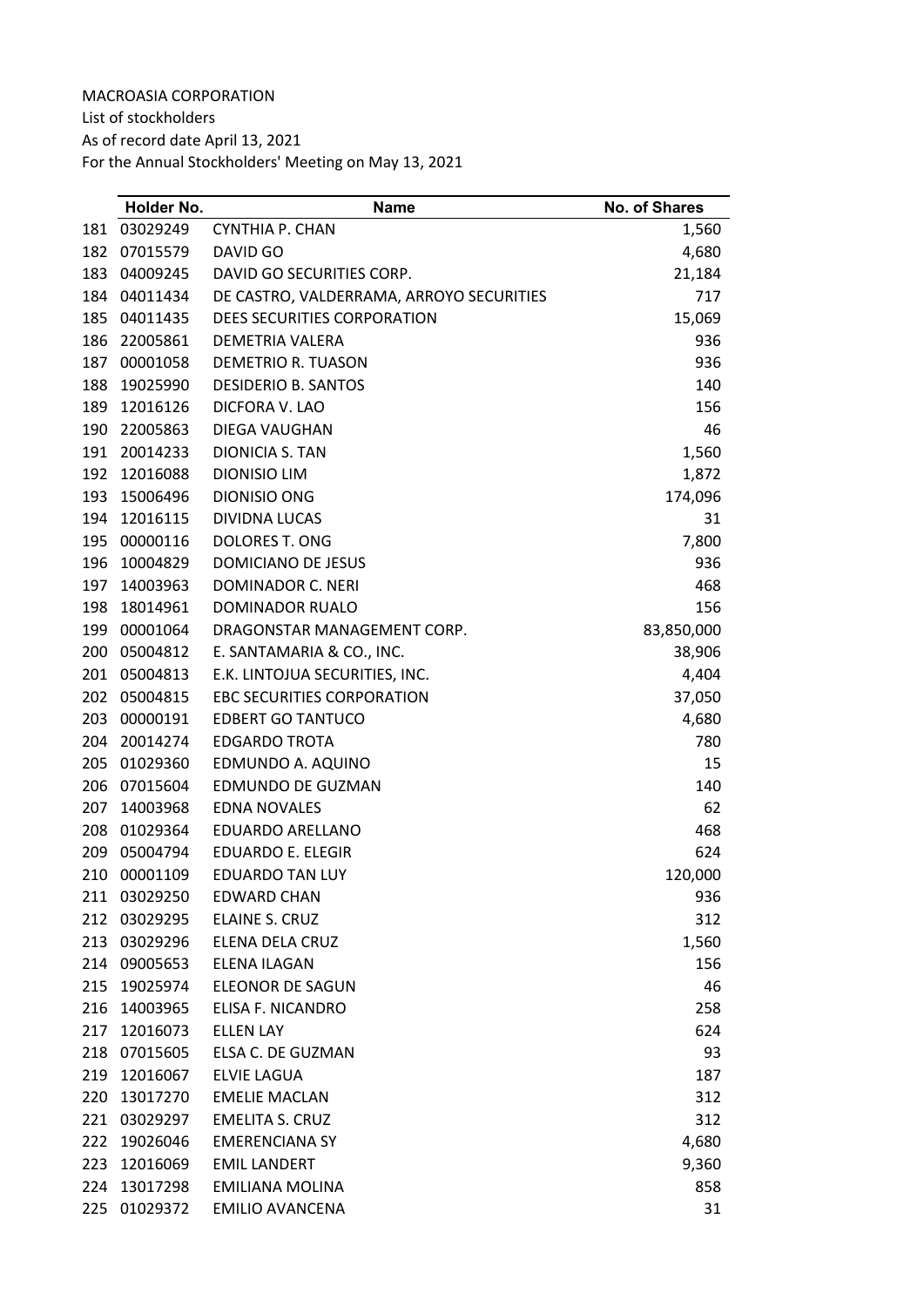List of stockholders

As of record date April 13, 2021

|     | Holder No. | <b>Name</b>                              | <b>No. of Shares</b> |
|-----|------------|------------------------------------------|----------------------|
| 181 | 03029249   | CYNTHIA P. CHAN                          | 1,560                |
| 182 | 07015579   | DAVID GO                                 | 4,680                |
| 183 | 04009245   | DAVID GO SECURITIES CORP.                | 21,184               |
| 184 | 04011434   | DE CASTRO, VALDERRAMA, ARROYO SECURITIES | 717                  |
| 185 | 04011435   | DEES SECURITIES CORPORATION              | 15,069               |
| 186 | 22005861   | DEMETRIA VALERA                          | 936                  |
| 187 | 00001058   | <b>DEMETRIO R. TUASON</b>                | 936                  |
| 188 | 19025990   | <b>DESIDERIO B. SANTOS</b>               | 140                  |
| 189 | 12016126   | DICFORA V. LAO                           | 156                  |
| 190 | 22005863   | DIEGA VAUGHAN                            | 46                   |
| 191 | 20014233   | DIONICIA S. TAN                          | 1,560                |
| 192 | 12016088   | <b>DIONISIO LIM</b>                      | 1,872                |
| 193 | 15006496   | <b>DIONISIO ONG</b>                      | 174,096              |
| 194 | 12016115   | <b>DIVIDNA LUCAS</b>                     | 31                   |
| 195 | 00000116   | <b>DOLORES T. ONG</b>                    | 7,800                |
| 196 | 10004829   | DOMICIANO DE JESUS                       | 936                  |
| 197 | 14003963   | DOMINADOR C. NERI                        | 468                  |
| 198 | 18014961   | <b>DOMINADOR RUALO</b>                   | 156                  |
| 199 | 00001064   | DRAGONSTAR MANAGEMENT CORP.              | 83,850,000           |
| 200 | 05004812   | E. SANTAMARIA & CO., INC.                | 38,906               |
| 201 | 05004813   | E.K. LINTOJUA SECURITIES, INC.           | 4,404                |
| 202 | 05004815   | <b>EBC SECURITIES CORPORATION</b>        | 37,050               |
| 203 | 00000191   | <b>EDBERT GO TANTUCO</b>                 | 4,680                |
| 204 | 20014274   | <b>EDGARDO TROTA</b>                     | 780                  |
| 205 | 01029360   | EDMUNDO A. AQUINO                        | 15                   |
| 206 | 07015604   | EDMUNDO DE GUZMAN                        | 140                  |
| 207 | 14003968   | <b>EDNA NOVALES</b>                      | 62                   |
| 208 | 01029364   | EDUARDO ARELLANO                         | 468                  |
| 209 | 05004794   | <b>EDUARDO E. ELEGIR</b>                 | 624                  |
| 210 | 00001109   | <b>EDUARDO TAN LUY</b>                   | 120,000              |
| 211 | 03029250   | <b>EDWARD CHAN</b>                       | 936                  |
| 212 | 03029295   | ELAINE S. CRUZ                           | 312                  |
| 213 | 03029296   | <b>ELENA DELA CRUZ</b>                   | 1,560                |
| 214 | 09005653   | ELENA ILAGAN                             | 156                  |
| 215 | 19025974   | ELEONOR DE SAGUN                         | 46                   |
| 216 | 14003965   | <b>ELISA F. NICANDRO</b>                 | 258                  |
| 217 | 12016073   | <b>ELLEN LAY</b>                         | 624                  |
| 218 | 07015605   | ELSA C. DE GUZMAN                        | 93                   |
| 219 | 12016067   | <b>ELVIE LAGUA</b>                       | 187                  |
| 220 | 13017270   | <b>EMELIE MACLAN</b>                     | 312                  |
| 221 | 03029297   | <b>EMELITA S. CRUZ</b>                   | 312                  |
| 222 | 19026046   | <b>EMERENCIANA SY</b>                    | 4,680                |
| 223 | 12016069   | <b>EMIL LANDERT</b>                      | 9,360                |
| 224 | 13017298   | <b>EMILIANA MOLINA</b>                   | 858                  |
| 225 | 01029372   | <b>EMILIO AVANCENA</b>                   | 31                   |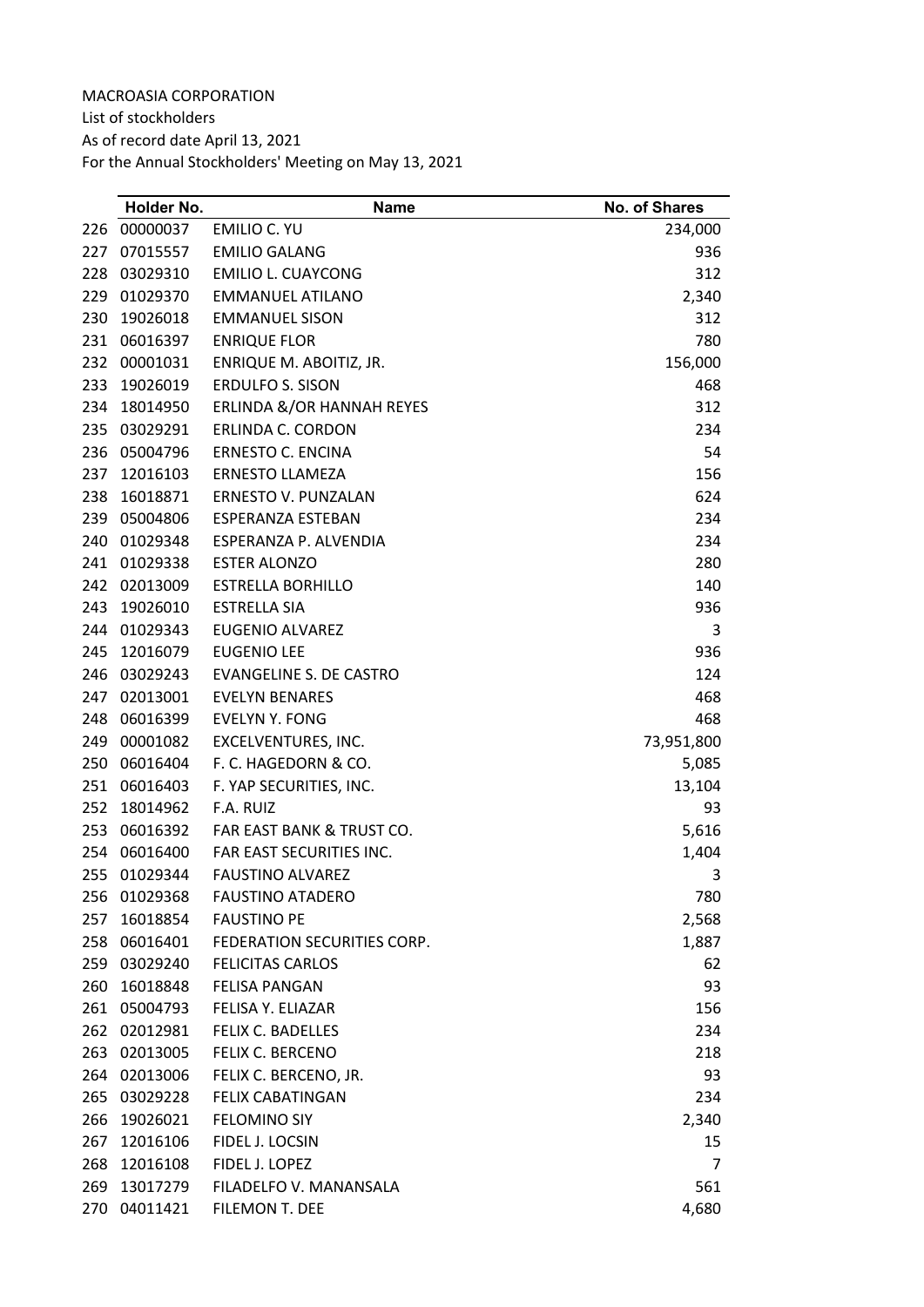List of stockholders As of record date April 13, 2021 For the Annual Stockholders' Meeting on May 13, 2021

|     | Holder No.   | <b>Name</b>                    | No. of Shares |
|-----|--------------|--------------------------------|---------------|
| 226 | 00000037     | EMILIO C. YU                   | 234,000       |
| 227 | 07015557     | <b>EMILIO GALANG</b>           | 936           |
| 228 | 03029310     | <b>EMILIO L. CUAYCONG</b>      | 312           |
| 229 | 01029370     | EMMANUEL ATILANO               | 2,340         |
| 230 | 19026018     | <b>EMMANUEL SISON</b>          | 312           |
| 231 | 06016397     | <b>ENRIQUE FLOR</b>            | 780           |
| 232 | 00001031     | ENRIQUE M. ABOITIZ, JR.        | 156,000       |
| 233 | 19026019     | <b>ERDULFO S. SISON</b>        | 468           |
| 234 | 18014950     | ERLINDA &/OR HANNAH REYES      | 312           |
| 235 | 03029291     | ERLINDA C. CORDON              | 234           |
| 236 | 05004796     | <b>ERNESTO C. ENCINA</b>       | 54            |
| 237 | 12016103     | <b>ERNESTO LLAMEZA</b>         | 156           |
| 238 | 16018871     | ERNESTO V. PUNZALAN            | 624           |
| 239 | 05004806     | ESPERANZA ESTEBAN              | 234           |
| 240 | 01029348     | ESPERANZA P. ALVENDIA          | 234           |
| 241 | 01029338     | <b>ESTER ALONZO</b>            | 280           |
| 242 | 02013009     | <b>ESTRELLA BORHILLO</b>       | 140           |
| 243 | 19026010     | <b>ESTRELLA SIA</b>            | 936           |
| 244 | 01029343     | <b>EUGENIO ALVAREZ</b>         | 3             |
| 245 | 12016079     | <b>EUGENIO LEE</b>             | 936           |
| 246 | 03029243     | <b>EVANGELINE S. DE CASTRO</b> | 124           |
| 247 | 02013001     | <b>EVELYN BENARES</b>          | 468           |
| 248 | 06016399     | <b>EVELYN Y. FONG</b>          | 468           |
| 249 | 00001082     | EXCELVENTURES, INC.            | 73,951,800    |
| 250 | 06016404     | F. C. HAGEDORN & CO.           | 5,085         |
| 251 | 06016403     | F. YAP SECURITIES, INC.        | 13,104        |
| 252 | 18014962     | F.A. RUIZ                      | 93            |
| 253 | 06016392     | FAR EAST BANK & TRUST CO.      | 5,616         |
| 254 | 06016400     | FAR EAST SECURITIES INC.       | 1,404         |
| 255 | 01029344     | <b>FAUSTINO ALVAREZ</b>        | 3             |
|     | 256 01029368 | <b>FAUSTINO ATADERO</b>        | 780           |
| 257 | 16018854     | <b>FAUSTINO PE</b>             | 2,568         |
| 258 | 06016401     | FEDERATION SECURITIES CORP.    | 1,887         |
| 259 | 03029240     | <b>FELICITAS CARLOS</b>        | 62            |
| 260 | 16018848     | <b>FELISA PANGAN</b>           | 93            |
| 261 | 05004793     | FELISA Y. ELIAZAR              | 156           |
|     | 262 02012981 | FELIX C. BADELLES              | 234           |
| 263 | 02013005     | <b>FELIX C. BERCENO</b>        | 218           |
| 264 | 02013006     | FELIX C. BERCENO, JR.          | 93            |
| 265 | 03029228     | <b>FELIX CABATINGAN</b>        | 234           |
| 266 | 19026021     | <b>FELOMINO SIY</b>            | 2,340         |
| 267 | 12016106     | FIDEL J. LOCSIN                | 15            |
| 268 | 12016108     | FIDEL J. LOPEZ                 | 7             |
| 269 | 13017279     | FILADELFO V. MANANSALA         | 561           |
| 270 | 04011421     | FILEMON T. DEE                 | 4,680         |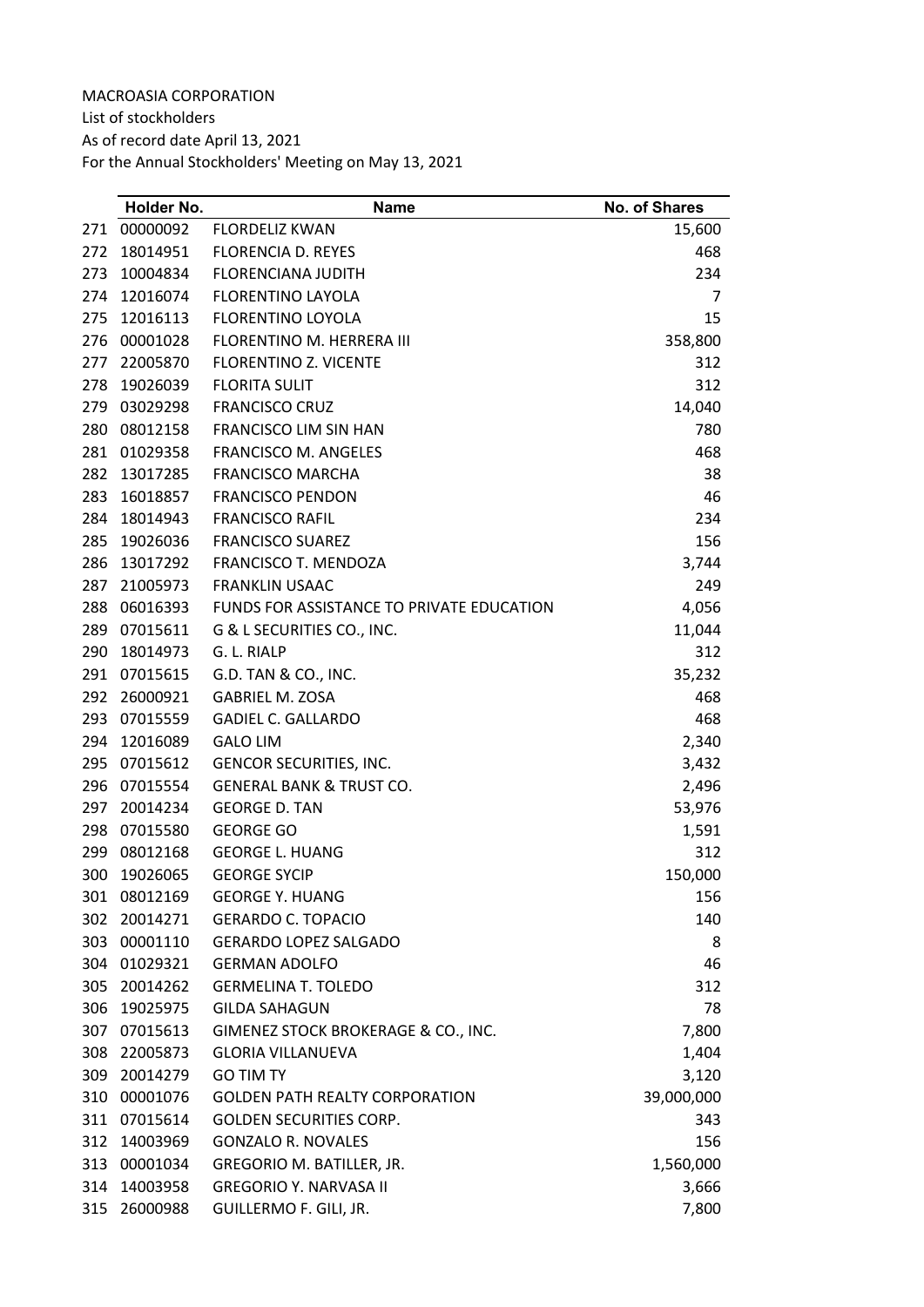List of stockholders

As of record date April 13, 2021

|     | Holder No.   | <b>Name</b>                               | <b>No. of Shares</b> |
|-----|--------------|-------------------------------------------|----------------------|
| 271 | 00000092     | <b>FLORDELIZ KWAN</b>                     | 15,600               |
| 272 | 18014951     | <b>FLORENCIA D. REYES</b>                 | 468                  |
| 273 | 10004834     | <b>FLORENCIANA JUDITH</b>                 | 234                  |
| 274 | 12016074     | <b>FLORENTINO LAYOLA</b>                  | 7                    |
| 275 | 12016113     | <b>FLORENTINO LOYOLA</b>                  | 15                   |
| 276 | 00001028     | FLORENTINO M. HERRERA III                 | 358,800              |
| 277 | 22005870     | <b>FLORENTINO Z. VICENTE</b>              | 312                  |
| 278 | 19026039     | <b>FLORITA SULIT</b>                      | 312                  |
| 279 | 03029298     | <b>FRANCISCO CRUZ</b>                     | 14,040               |
| 280 | 08012158     | FRANCISCO LIM SIN HAN                     | 780                  |
| 281 | 01029358     | <b>FRANCISCO M. ANGELES</b>               | 468                  |
| 282 | 13017285     | <b>FRANCISCO MARCHA</b>                   | 38                   |
| 283 | 16018857     | <b>FRANCISCO PENDON</b>                   | 46                   |
| 284 | 18014943     | <b>FRANCISCO RAFIL</b>                    | 234                  |
| 285 | 19026036     | <b>FRANCISCO SUAREZ</b>                   | 156                  |
| 286 | 13017292     | FRANCISCO T. MENDOZA                      | 3,744                |
| 287 | 21005973     | <b>FRANKLIN USAAC</b>                     | 249                  |
| 288 | 06016393     | FUNDS FOR ASSISTANCE TO PRIVATE EDUCATION | 4,056                |
| 289 | 07015611     | G & L SECURITIES CO., INC.                | 11,044               |
| 290 | 18014973     | G. L. RIALP                               | 312                  |
| 291 | 07015615     | G.D. TAN & CO., INC.                      | 35,232               |
| 292 | 26000921     | <b>GABRIEL M. ZOSA</b>                    | 468                  |
| 293 | 07015559     | <b>GADIEL C. GALLARDO</b>                 | 468                  |
| 294 | 12016089     | <b>GALO LIM</b>                           | 2,340                |
| 295 | 07015612     | GENCOR SECURITIES, INC.                   | 3,432                |
| 296 | 07015554     | <b>GENERAL BANK &amp; TRUST CO.</b>       | 2,496                |
| 297 | 20014234     | <b>GEORGE D. TAN</b>                      | 53,976               |
| 298 | 07015580     | <b>GEORGE GO</b>                          | 1,591                |
| 299 | 08012168     | <b>GEORGE L. HUANG</b>                    | 312                  |
| 300 | 19026065     | <b>GEORGE SYCIP</b>                       | 150,000              |
|     | 301 08012169 | <b>GEORGE Y. HUANG</b>                    | 156                  |
| 302 | 20014271     | <b>GERARDO C. TOPACIO</b>                 | 140                  |
| 303 | 00001110     | <b>GERARDO LOPEZ SALGADO</b>              | 8                    |
|     | 304 01029321 | <b>GERMAN ADOLFO</b>                      | 46                   |
| 305 | 20014262     | <b>GERMELINA T. TOLEDO</b>                | 312                  |
| 306 | 19025975     | <b>GILDA SAHAGUN</b>                      | 78                   |
| 307 | 07015613     | GIMENEZ STOCK BROKERAGE & CO., INC.       | 7,800                |
| 308 | 22005873     | <b>GLORIA VILLANUEVA</b>                  | 1,404                |
| 309 | 20014279     | <b>GO TIM TY</b>                          | 3,120                |
| 310 | 00001076     | <b>GOLDEN PATH REALTY CORPORATION</b>     | 39,000,000           |
| 311 | 07015614     | <b>GOLDEN SECURITIES CORP.</b>            | 343                  |
| 312 | 14003969     | <b>GONZALO R. NOVALES</b>                 | 156                  |
| 313 | 00001034     | GREGORIO M. BATILLER, JR.                 | 1,560,000            |
| 314 | 14003958     | <b>GREGORIO Y. NARVASA II</b>             | 3,666                |
| 315 | 26000988     | GUILLERMO F. GILI, JR.                    | 7,800                |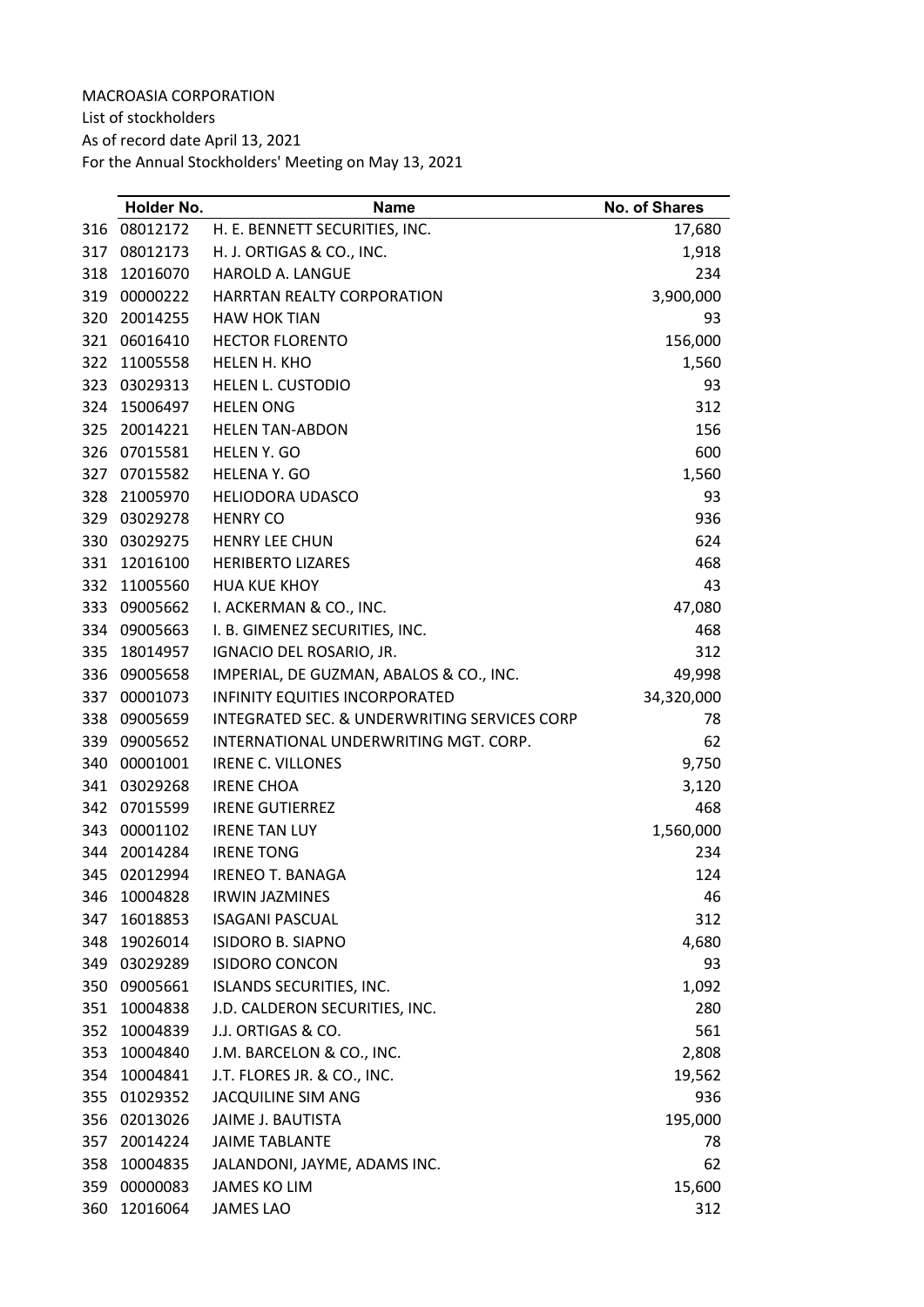List of stockholders

As of record date April 13, 2021

|     | Holder No. | <b>Name</b>                                  | No. of Shares |
|-----|------------|----------------------------------------------|---------------|
| 316 | 08012172   | H. E. BENNETT SECURITIES, INC.               | 17,680        |
| 317 | 08012173   | H. J. ORTIGAS & CO., INC.                    | 1,918         |
| 318 | 12016070   | HAROLD A. LANGUE                             | 234           |
| 319 | 00000222   | <b>HARRTAN REALTY CORPORATION</b>            | 3,900,000     |
| 320 | 20014255   | <b>HAW HOK TIAN</b>                          | 93            |
| 321 | 06016410   | <b>HECTOR FLORENTO</b>                       | 156,000       |
| 322 | 11005558   | HELEN H. KHO                                 | 1,560         |
| 323 | 03029313   | <b>HELEN L. CUSTODIO</b>                     | 93            |
| 324 | 15006497   | <b>HELEN ONG</b>                             | 312           |
| 325 | 20014221   | <b>HELEN TAN-ABDON</b>                       | 156           |
| 326 | 07015581   | HELEN Y. GO                                  | 600           |
| 327 | 07015582   | HELENA Y. GO                                 | 1,560         |
| 328 | 21005970   | <b>HELIODORA UDASCO</b>                      | 93            |
| 329 | 03029278   | <b>HENRY CO</b>                              | 936           |
| 330 | 03029275   | <b>HENRY LEE CHUN</b>                        | 624           |
| 331 | 12016100   | <b>HERIBERTO LIZARES</b>                     | 468           |
| 332 | 11005560   | <b>HUA KUE KHOY</b>                          | 43            |
| 333 | 09005662   | I. ACKERMAN & CO., INC.                      | 47,080        |
| 334 | 09005663   | I. B. GIMENEZ SECURITIES, INC.               | 468           |
| 335 | 18014957   | IGNACIO DEL ROSARIO, JR.                     | 312           |
| 336 | 09005658   | IMPERIAL, DE GUZMAN, ABALOS & CO., INC.      | 49,998        |
| 337 | 00001073   | <b>INFINITY EQUITIES INCORPORATED</b>        | 34,320,000    |
| 338 | 09005659   | INTEGRATED SEC. & UNDERWRITING SERVICES CORP | 78            |
| 339 | 09005652   | INTERNATIONAL UNDERWRITING MGT. CORP.        | 62            |
| 340 | 00001001   | <b>IRENE C. VILLONES</b>                     | 9,750         |
| 341 | 03029268   | <b>IRENE CHOA</b>                            | 3,120         |
| 342 | 07015599   | <b>IRENE GUTIERREZ</b>                       | 468           |
| 343 | 00001102   | <b>IRENE TAN LUY</b>                         | 1,560,000     |
| 344 | 20014284   | <b>IRENE TONG</b>                            | 234           |
| 345 | 02012994   | <b>IRENEO T. BANAGA</b>                      | 124           |
| 346 | 10004828   | <b>IRWIN JAZMINES</b>                        | 46            |
| 347 | 16018853   | <b>ISAGANI PASCUAL</b>                       | 312           |
| 348 | 19026014   | <b>ISIDORO B. SIAPNO</b>                     | 4,680         |
| 349 | 03029289   | <b>ISIDORO CONCON</b>                        | 93            |
| 350 | 09005661   | ISLANDS SECURITIES, INC.                     | 1,092         |
| 351 | 10004838   | J.D. CALDERON SECURITIES, INC.               | 280           |
| 352 | 10004839   | J.J. ORTIGAS & CO.                           | 561           |
| 353 | 10004840   | J.M. BARCELON & CO., INC.                    | 2,808         |
| 354 | 10004841   | J.T. FLORES JR. & CO., INC.                  | 19,562        |
| 355 | 01029352   | JACQUILINE SIM ANG                           | 936           |
| 356 | 02013026   | JAIME J. BAUTISTA                            | 195,000       |
| 357 | 20014224   | <b>JAIME TABLANTE</b>                        | 78            |
| 358 | 10004835   | JALANDONI, JAYME, ADAMS INC.                 | 62            |
| 359 | 00000083   | <b>JAMES KO LIM</b>                          | 15,600        |
| 360 | 12016064   | <b>JAMES LAO</b>                             | 312           |
|     |            |                                              |               |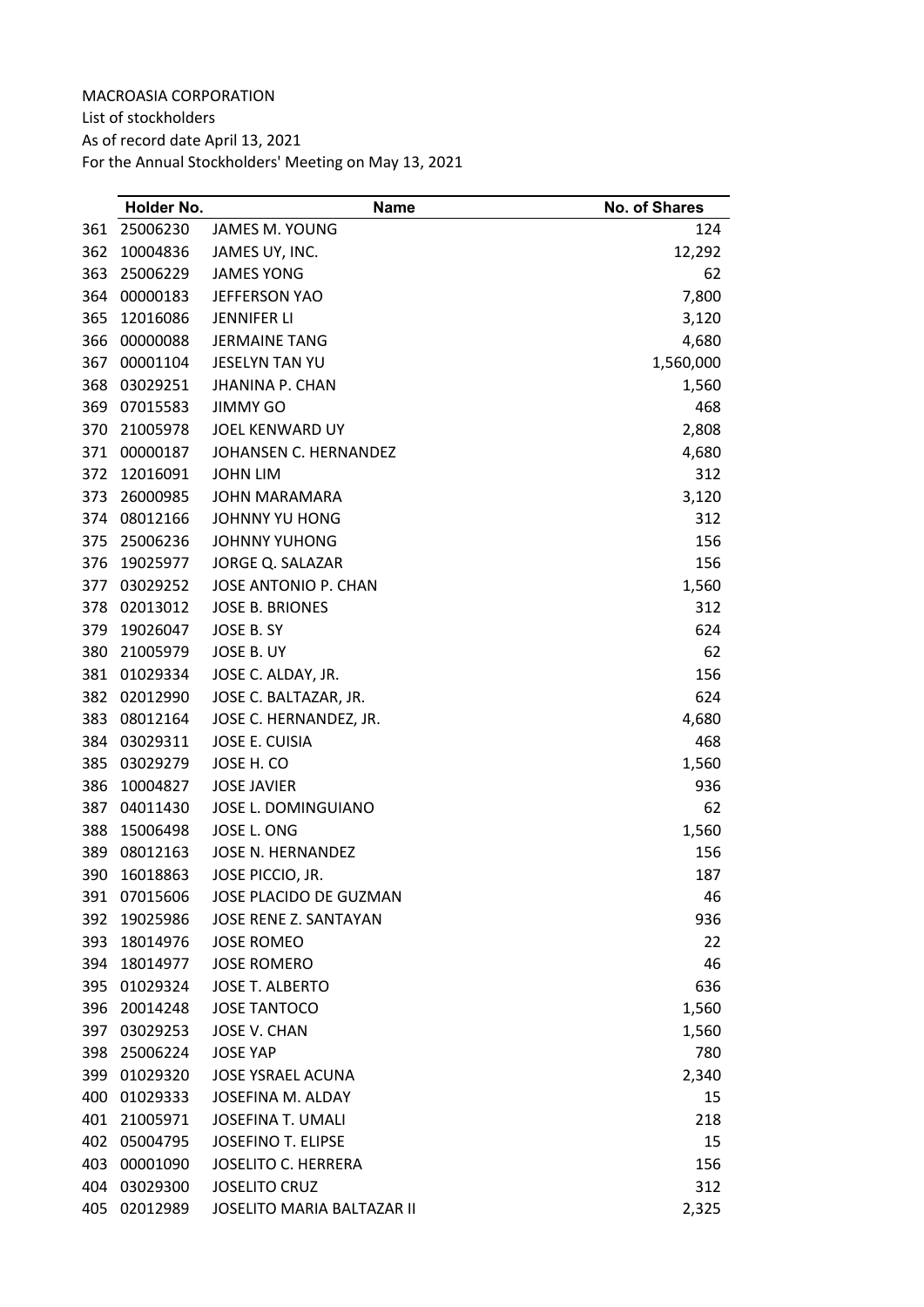List of stockholders

As of record date April 13, 2021

|     | Holder No. | Name                       | <b>No. of Shares</b> |
|-----|------------|----------------------------|----------------------|
| 361 | 25006230   | JAMES M. YOUNG             | 124                  |
| 362 | 10004836   | JAMES UY, INC.             | 12,292               |
| 363 | 25006229   | <b>JAMES YONG</b>          | 62                   |
| 364 | 00000183   | <b>JEFFERSON YAO</b>       | 7,800                |
| 365 | 12016086   | <b>JENNIFER LI</b>         | 3,120                |
| 366 | 00000088   | <b>JERMAINE TANG</b>       | 4,680                |
| 367 | 00001104   | JESELYN TAN YU             | 1,560,000            |
| 368 | 03029251   | <b>JHANINA P. CHAN</b>     | 1,560                |
| 369 | 07015583   | <b>JIMMY GO</b>            | 468                  |
| 370 | 21005978   | JOEL KENWARD UY            | 2,808                |
| 371 | 00000187   | JOHANSEN C. HERNANDEZ      | 4,680                |
| 372 | 12016091   | <b>JOHN LIM</b>            | 312                  |
| 373 | 26000985   | <b>JOHN MARAMARA</b>       | 3,120                |
| 374 | 08012166   | JOHNNY YU HONG             | 312                  |
| 375 | 25006236   | <b>JOHNNY YUHONG</b>       | 156                  |
| 376 | 19025977   | JORGE Q. SALAZAR           | 156                  |
| 377 | 03029252   | JOSE ANTONIO P. CHAN       | 1,560                |
| 378 | 02013012   | <b>JOSE B. BRIONES</b>     | 312                  |
| 379 | 19026047   | JOSE B. SY                 | 624                  |
| 380 | 21005979   | JOSE B. UY                 | 62                   |
| 381 | 01029334   | JOSE C. ALDAY, JR.         | 156                  |
| 382 | 02012990   | JOSE C. BALTAZAR, JR.      | 624                  |
| 383 | 08012164   | JOSE C. HERNANDEZ, JR.     | 4,680                |
| 384 | 03029311   | JOSE E. CUISIA             | 468                  |
| 385 | 03029279   | JOSE H. CO                 | 1,560                |
| 386 | 10004827   | <b>JOSE JAVIER</b>         | 936                  |
| 387 | 04011430   | JOSE L. DOMINGUIANO        | 62                   |
| 388 | 15006498   | JOSE L. ONG                | 1,560                |
| 389 | 08012163   | JOSE N. HERNANDEZ          | 156                  |
| 390 | 16018863   | JOSE PICCIO, JR.           | 187                  |
| 391 | 07015606   | JOSE PLACIDO DE GUZMAN     | 46                   |
| 392 | 19025986   | JOSE RENE Z. SANTAYAN      | 936                  |
| 393 | 18014976   | <b>JOSE ROMEO</b>          | 22                   |
| 394 | 18014977   | <b>JOSE ROMERO</b>         | 46                   |
| 395 | 01029324   | <b>JOSE T. ALBERTO</b>     | 636                  |
| 396 | 20014248   | <b>JOSE TANTOCO</b>        | 1,560                |
| 397 | 03029253   | <b>JOSE V. CHAN</b>        | 1,560                |
| 398 | 25006224   | <b>JOSE YAP</b>            | 780                  |
| 399 | 01029320   | <b>JOSE YSRAEL ACUNA</b>   | 2,340                |
| 400 | 01029333   | JOSEFINA M. ALDAY          | 15                   |
| 401 | 21005971   | <b>JOSEFINA T. UMALI</b>   | 218                  |
| 402 | 05004795   | <b>JOSEFINO T. ELIPSE</b>  | 15                   |
| 403 | 00001090   | <b>JOSELITO C. HERRERA</b> | 156                  |
| 404 | 03029300   | <b>JOSELITO CRUZ</b>       | 312                  |
| 405 | 02012989   | JOSELITO MARIA BALTAZAR II | 2,325                |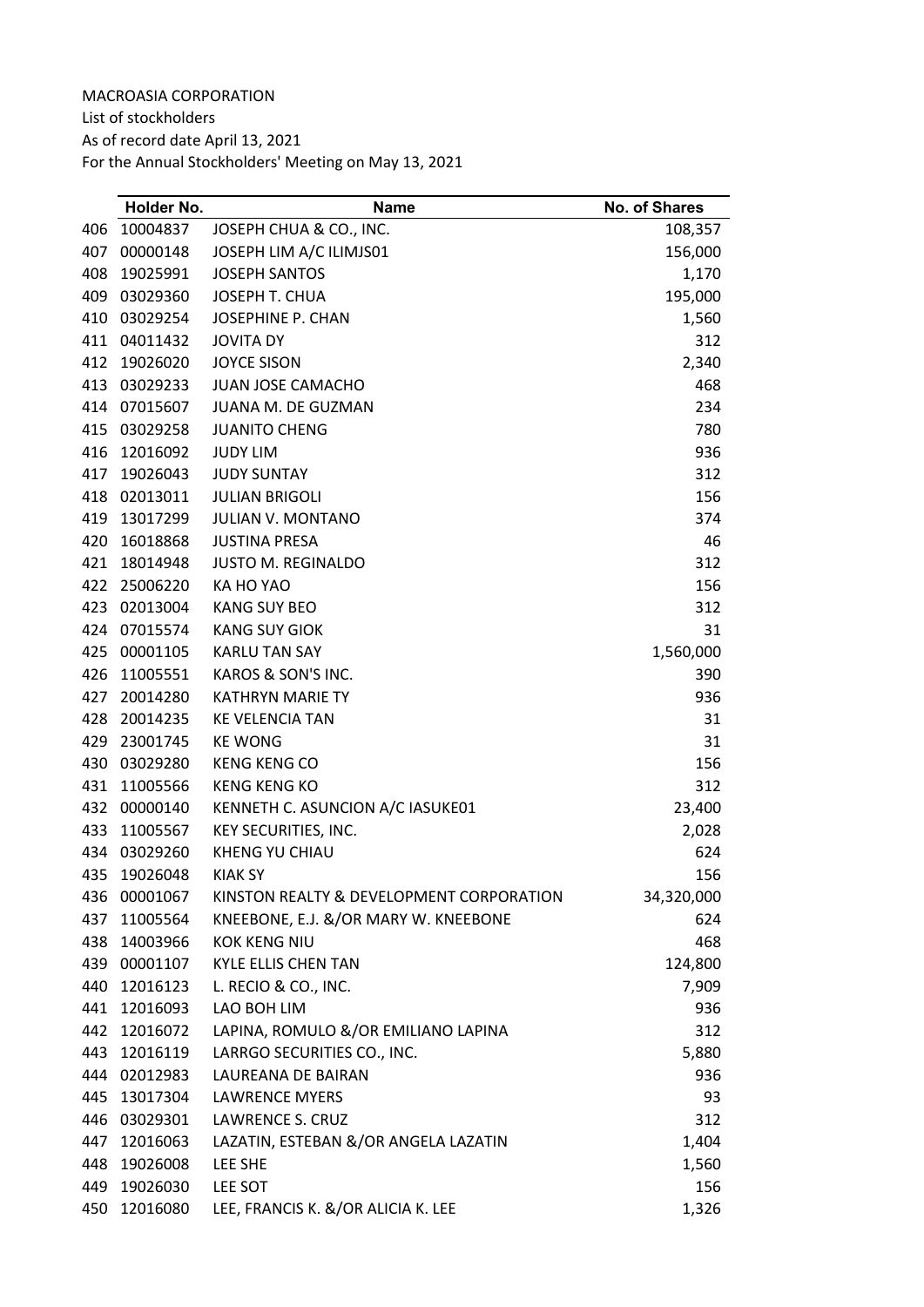List of stockholders

As of record date April 13, 2021

|     | Holder No.   | <b>Name</b>                              | No. of Shares |
|-----|--------------|------------------------------------------|---------------|
| 406 | 10004837     | JOSEPH CHUA & CO., INC.                  | 108,357       |
| 407 | 00000148     | JOSEPH LIM A/C ILIMJS01                  | 156,000       |
| 408 | 19025991     | <b>JOSEPH SANTOS</b>                     | 1,170         |
| 409 | 03029360     | JOSEPH T. CHUA                           | 195,000       |
| 410 | 03029254     | JOSEPHINE P. CHAN                        | 1,560         |
| 411 | 04011432     | <b>JOVITA DY</b>                         | 312           |
| 412 | 19026020     | <b>JOYCE SISON</b>                       | 2,340         |
| 413 | 03029233     | <b>JUAN JOSE CAMACHO</b>                 | 468           |
| 414 | 07015607     | <b>JUANA M. DE GUZMAN</b>                | 234           |
| 415 | 03029258     | <b>JUANITO CHENG</b>                     | 780           |
| 416 | 12016092     | <b>JUDY LIM</b>                          | 936           |
| 417 | 19026043     | <b>JUDY SUNTAY</b>                       | 312           |
| 418 | 02013011     | <b>JULIAN BRIGOLI</b>                    | 156           |
| 419 | 13017299     | <b>JULIAN V. MONTANO</b>                 | 374           |
| 420 | 16018868     | <b>JUSTINA PRESA</b>                     | 46            |
| 421 | 18014948     | <b>JUSTO M. REGINALDO</b>                | 312           |
| 422 | 25006220     | KA HO YAO                                | 156           |
| 423 | 02013004     | <b>KANG SUY BEO</b>                      | 312           |
| 424 | 07015574     | <b>KANG SUY GIOK</b>                     | 31            |
| 425 | 00001105     | <b>KARLU TAN SAY</b>                     | 1,560,000     |
| 426 | 11005551     | KAROS & SON'S INC.                       | 390           |
| 427 | 20014280     | <b>KATHRYN MARIE TY</b>                  | 936           |
| 428 | 20014235     | <b>KE VELENCIA TAN</b>                   | 31            |
| 429 | 23001745     | <b>KE WONG</b>                           | 31            |
| 430 | 03029280     | <b>KENG KENG CO</b>                      | 156           |
| 431 | 11005566     | <b>KENG KENG KO</b>                      | 312           |
| 432 | 00000140     | KENNETH C. ASUNCION A/C IASUKE01         | 23,400        |
| 433 | 11005567     | KEY SECURITIES, INC.                     | 2,028         |
| 434 | 03029260     | KHENG YU CHIAU                           | 624           |
| 435 | 19026048     | <b>KIAK SY</b>                           | 156           |
|     | 436 00001067 | KINSTON REALTY & DEVELOPMENT CORPORATION | 34,320,000    |
| 437 | 11005564     | KNEEBONE, E.J. &/OR MARY W. KNEEBONE     | 624           |
|     | 438 14003966 | <b>KOK KENG NIU</b>                      | 468           |
|     | 439 00001107 | <b>KYLE ELLIS CHEN TAN</b>               | 124,800       |
| 440 | 12016123     | L. RECIO & CO., INC.                     | 7,909         |
| 441 | 12016093     | LAO BOH LIM                              | 936           |
|     | 442 12016072 | LAPINA, ROMULO &/OR EMILIANO LAPINA      | 312           |
| 443 | 12016119     | LARRGO SECURITIES CO., INC.              | 5,880         |
|     | 444 02012983 | LAUREANA DE BAIRAN                       | 936           |
| 445 | 13017304     | <b>LAWRENCE MYERS</b>                    | 93            |
| 446 | 03029301     | <b>LAWRENCE S. CRUZ</b>                  | 312           |
| 447 | 12016063     | LAZATIN, ESTEBAN &/OR ANGELA LAZATIN     | 1,404         |
| 448 | 19026008     | LEE SHE                                  | 1,560         |
| 449 | 19026030     | LEE SOT                                  | 156           |
| 450 | 12016080     | LEE, FRANCIS K. &/OR ALICIA K. LEE       | 1,326         |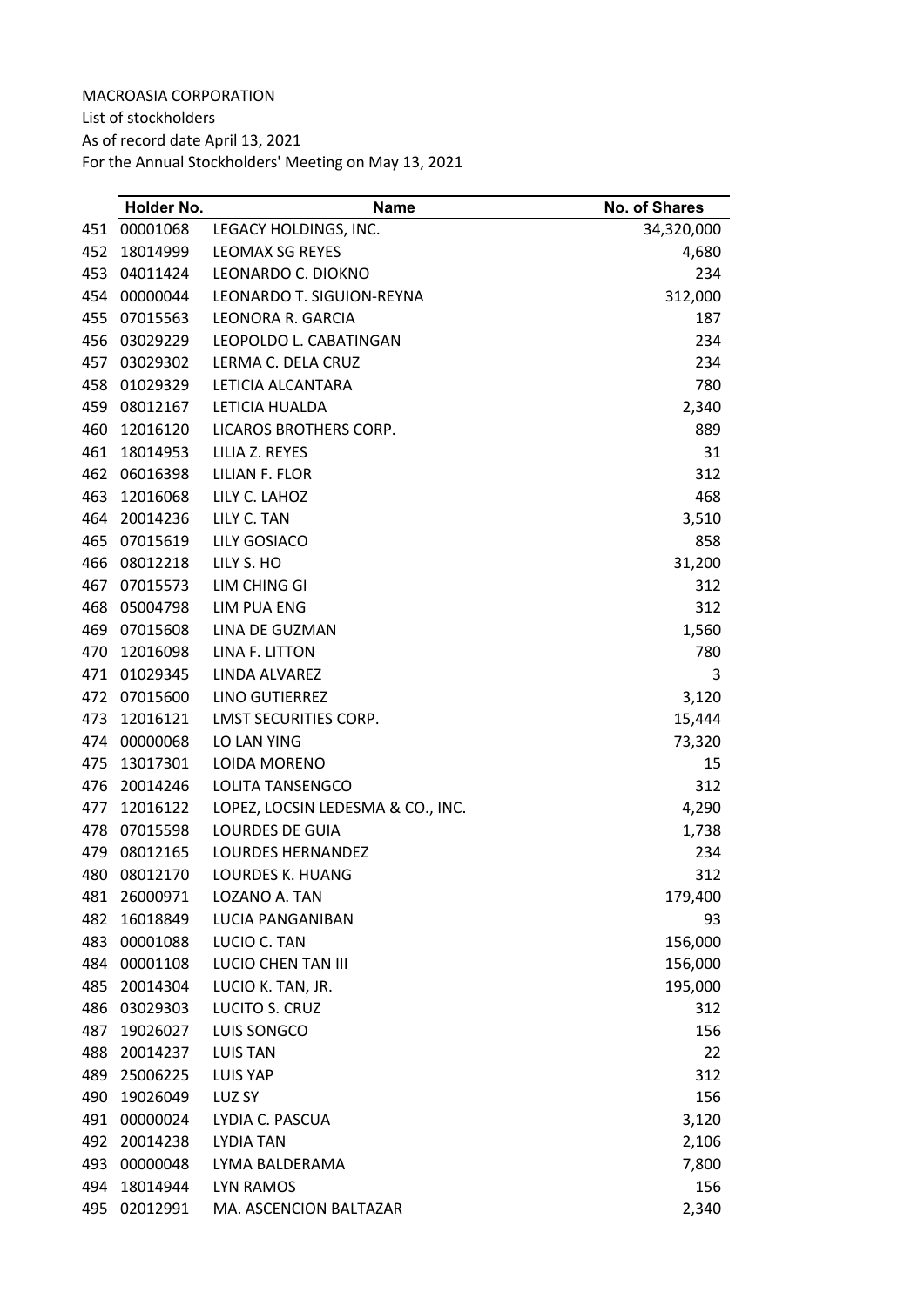List of stockholders

As of record date April 13, 2021

|     | Holder No. | <b>Name</b>                       | <b>No. of Shares</b> |
|-----|------------|-----------------------------------|----------------------|
| 451 | 00001068   | LEGACY HOLDINGS, INC.             | 34,320,000           |
| 452 | 18014999   | <b>LEOMAX SG REYES</b>            | 4,680                |
| 453 | 04011424   | LEONARDO C. DIOKNO                | 234                  |
| 454 | 00000044   | LEONARDO T. SIGUION-REYNA         | 312,000              |
| 455 | 07015563   | LEONORA R. GARCIA                 | 187                  |
| 456 | 03029229   | LEOPOLDO L. CABATINGAN            | 234                  |
| 457 | 03029302   | LERMA C. DELA CRUZ                | 234                  |
| 458 | 01029329   | LETICIA ALCANTARA                 | 780                  |
| 459 | 08012167   | LETICIA HUALDA                    | 2,340                |
| 460 | 12016120   | LICAROS BROTHERS CORP.            | 889                  |
| 461 | 18014953   | LILIA Z. REYES                    | 31                   |
| 462 | 06016398   | LILIAN F. FLOR                    | 312                  |
| 463 | 12016068   | LILY C. LAHOZ                     | 468                  |
| 464 | 20014236   | LILY C. TAN                       | 3,510                |
| 465 | 07015619   | LILY GOSIACO                      | 858                  |
| 466 | 08012218   | LILY S. HO                        | 31,200               |
| 467 | 07015573   | LIM CHING GI                      | 312                  |
| 468 | 05004798   | <b>LIM PUA ENG</b>                | 312                  |
| 469 | 07015608   | LINA DE GUZMAN                    | 1,560                |
| 470 | 12016098   | LINA F. LITTON                    | 780                  |
| 471 | 01029345   | LINDA ALVAREZ                     | 3                    |
| 472 | 07015600   | LINO GUTIERREZ                    | 3,120                |
| 473 | 12016121   | <b>LMST SECURITIES CORP.</b>      | 15,444               |
| 474 | 00000068   | LO LAN YING                       | 73,320               |
| 475 | 13017301   | <b>LOIDA MORENO</b>               | 15                   |
| 476 | 20014246   | LOLITA TANSENGCO                  | 312                  |
| 477 | 12016122   | LOPEZ, LOCSIN LEDESMA & CO., INC. | 4,290                |
| 478 | 07015598   | <b>LOURDES DE GUIA</b>            | 1,738                |
| 479 | 08012165   | LOURDES HERNANDEZ                 | 234                  |
| 480 | 08012170   | <b>LOURDES K. HUANG</b>           | 312                  |
| 481 | 26000971   | LOZANO A. TAN                     | 179,400              |
| 482 | 16018849   | <b>LUCIA PANGANIBAN</b>           | 93                   |
| 483 | 00001088   | LUCIO C. TAN                      | 156,000              |
| 484 | 00001108   | <b>LUCIO CHEN TAN III</b>         | 156,000              |
| 485 | 20014304   | LUCIO K. TAN, JR.                 | 195,000              |
| 486 | 03029303   | LUCITO S. CRUZ                    | 312                  |
| 487 | 19026027   | LUIS SONGCO                       | 156                  |
| 488 | 20014237   | <b>LUIS TAN</b>                   | 22                   |
| 489 | 25006225   | <b>LUIS YAP</b>                   | 312                  |
| 490 | 19026049   | LUZ SY                            | 156                  |
| 491 | 00000024   | LYDIA C. PASCUA                   | 3,120                |
| 492 | 20014238   | <b>LYDIA TAN</b>                  | 2,106                |
| 493 | 00000048   | LYMA BALDERAMA                    | 7,800                |
| 494 | 18014944   | <b>LYN RAMOS</b>                  | 156                  |
| 495 | 02012991   | MA. ASCENCION BALTAZAR            | 2,340                |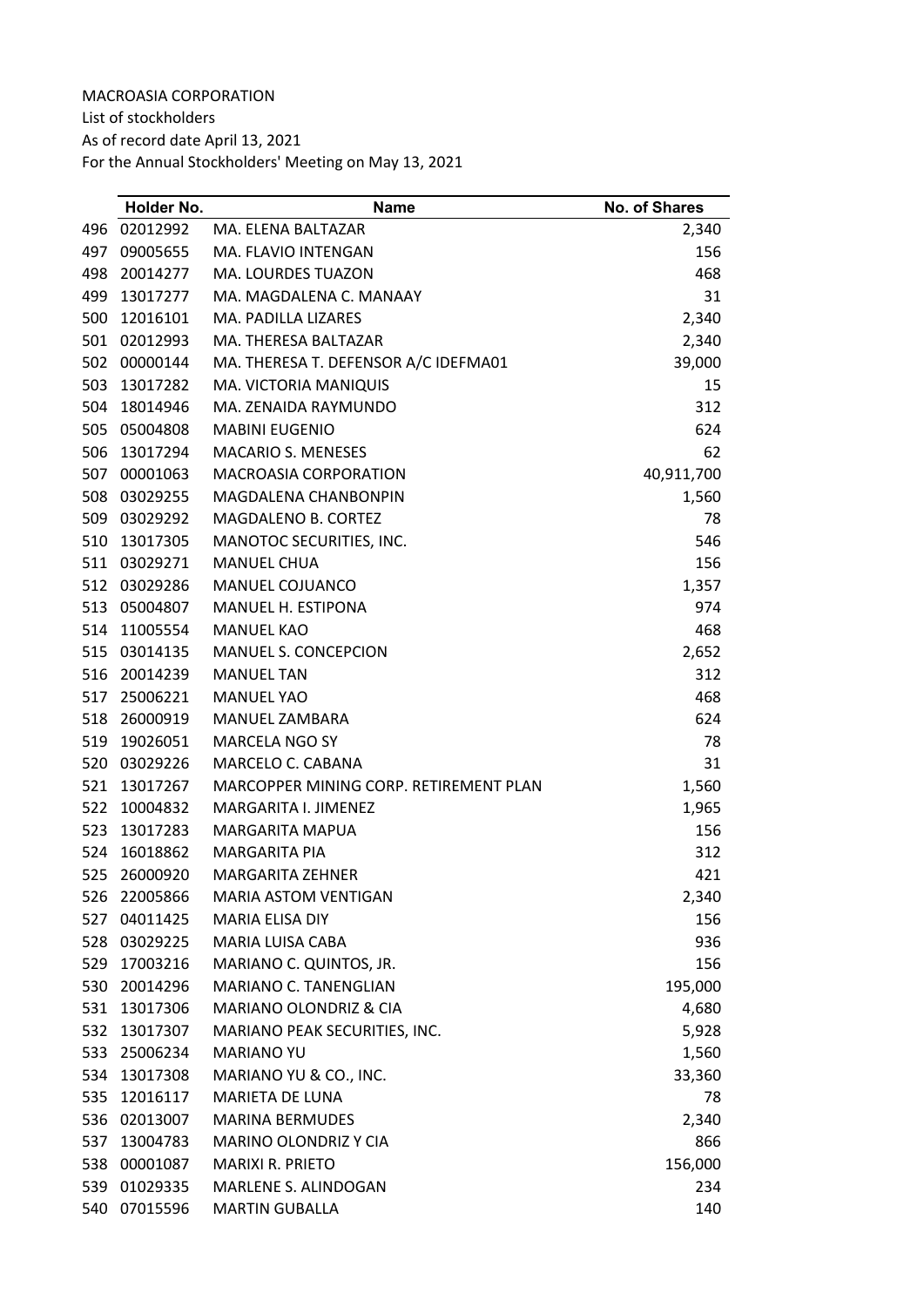List of stockholders

As of record date April 13, 2021

|     | Holder No.   | <b>Name</b>                            | <b>No. of Shares</b> |
|-----|--------------|----------------------------------------|----------------------|
| 496 | 02012992     | MA. ELENA BALTAZAR                     | 2,340                |
| 497 | 09005655     | MA. FLAVIO INTENGAN                    | 156                  |
| 498 | 20014277     | MA. LOURDES TUAZON                     | 468                  |
| 499 | 13017277     | MA. MAGDALENA C. MANAAY                | 31                   |
| 500 | 12016101     | MA. PADILLA LIZARES                    | 2,340                |
| 501 | 02012993     | MA. THERESA BALTAZAR                   | 2,340                |
| 502 | 00000144     | MA. THERESA T. DEFENSOR A/C IDEFMA01   | 39,000               |
| 503 | 13017282     | MA. VICTORIA MANIQUIS                  | 15                   |
| 504 | 18014946     | MA. ZENAIDA RAYMUNDO                   | 312                  |
| 505 | 05004808     | <b>MABINI EUGENIO</b>                  | 624                  |
| 506 | 13017294     | <b>MACARIO S. MENESES</b>              | 62                   |
| 507 | 00001063     | MACROASIA CORPORATION                  | 40,911,700           |
| 508 | 03029255     | MAGDALENA CHANBONPIN                   | 1,560                |
| 509 | 03029292     | MAGDALENO B. CORTEZ                    | 78                   |
| 510 | 13017305     | MANOTOC SECURITIES, INC.               | 546                  |
| 511 | 03029271     | <b>MANUEL CHUA</b>                     | 156                  |
| 512 | 03029286     | MANUEL COJUANCO                        | 1,357                |
| 513 | 05004807     | MANUEL H. ESTIPONA                     | 974                  |
| 514 | 11005554     | <b>MANUEL KAO</b>                      | 468                  |
| 515 | 03014135     | MANUEL S. CONCEPCION                   | 2,652                |
| 516 | 20014239     | <b>MANUEL TAN</b>                      | 312                  |
| 517 | 25006221     | <b>MANUEL YAO</b>                      | 468                  |
| 518 | 26000919     | MANUEL ZAMBARA                         | 624                  |
| 519 | 19026051     | <b>MARCELA NGO SY</b>                  | 78                   |
| 520 | 03029226     | MARCELO C. CABANA                      | 31                   |
| 521 | 13017267     | MARCOPPER MINING CORP. RETIREMENT PLAN | 1,560                |
| 522 | 10004832     | MARGARITA I. JIMENEZ                   | 1,965                |
| 523 | 13017283     | <b>MARGARITA MAPUA</b>                 | 156                  |
| 524 | 16018862     | <b>MARGARITA PIA</b>                   | 312                  |
| 525 | 26000920     | <b>MARGARITA ZEHNER</b>                | 421                  |
|     | 526 22005866 | MARIA ASTOM VENTIGAN                   | 2,340                |
| 527 | 04011425     | MARIA ELISA DIY                        | 156                  |
| 528 | 03029225     | MARIA LUISA CABA                       | 936                  |
|     | 529 17003216 | MARIANO C. QUINTOS, JR.                | 156                  |
| 530 | 20014296     | MARIANO C. TANENGLIAN                  | 195,000              |
| 531 | 13017306     | MARIANO OLONDRIZ & CIA                 | 4,680                |
| 532 | 13017307     | MARIANO PEAK SECURITIES, INC.          | 5,928                |
| 533 | 25006234     | <b>MARIANO YU</b>                      | 1,560                |
| 534 | 13017308     | MARIANO YU & CO., INC.                 | 33,360               |
| 535 | 12016117     | MARIETA DE LUNA                        | 78                   |
| 536 | 02013007     | <b>MARINA BERMUDES</b>                 | 2,340                |
| 537 | 13004783     | MARINO OLONDRIZ Y CIA                  | 866                  |
| 538 | 00001087     | <b>MARIXI R. PRIETO</b>                | 156,000              |
| 539 | 01029335     | MARLENE S. ALINDOGAN                   | 234                  |
| 540 | 07015596     | <b>MARTIN GUBALLA</b>                  | 140                  |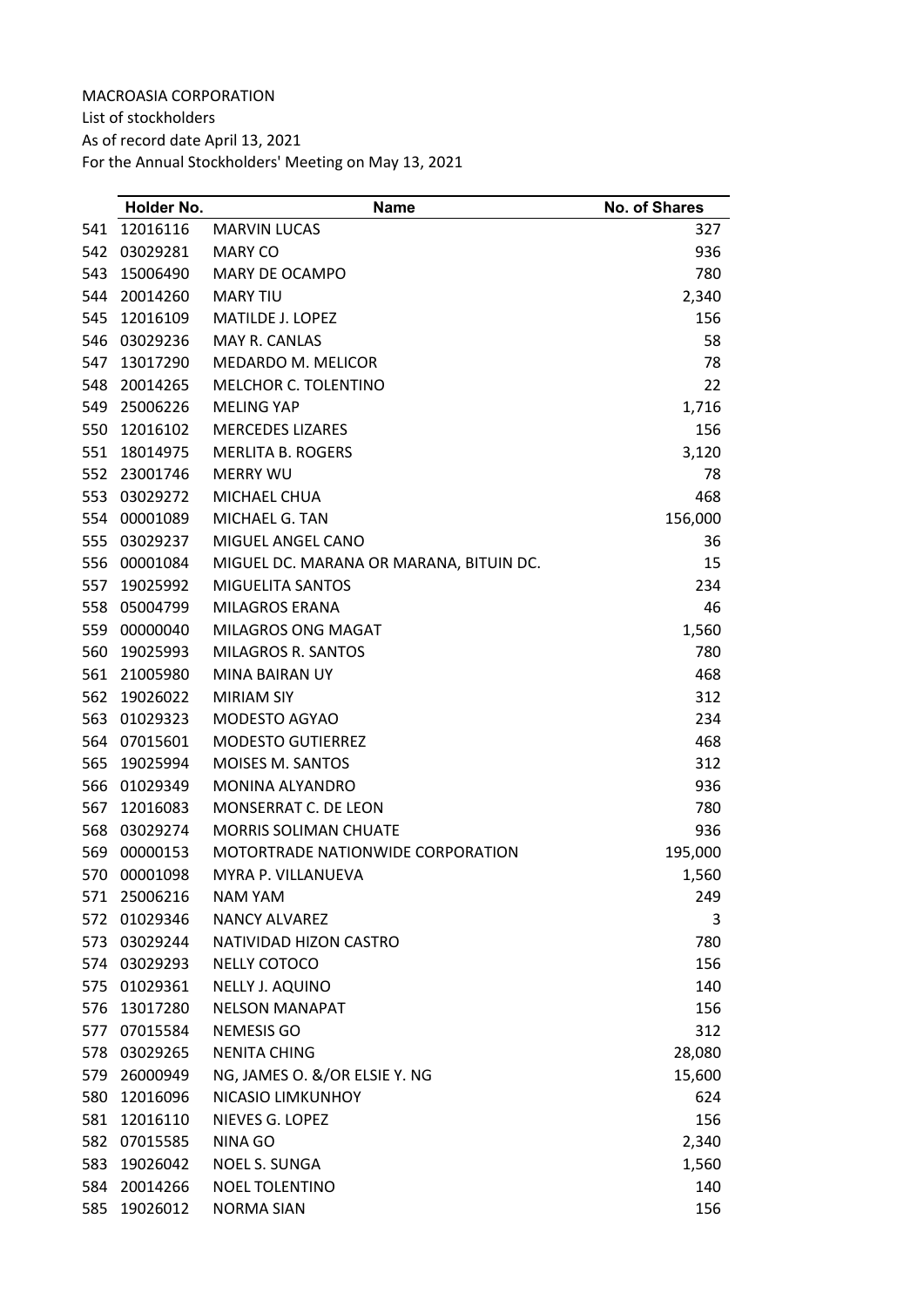List of stockholders As of record date April 13, 2021 For the Annual Stockholders' Meeting on May 13, 2021

|     | Holder No.   | <b>Name</b>                             | <b>No. of Shares</b> |
|-----|--------------|-----------------------------------------|----------------------|
| 541 | 12016116     | <b>MARVIN LUCAS</b>                     | 327                  |
| 542 | 03029281     | <b>MARY CO</b>                          | 936                  |
| 543 | 15006490     | MARY DE OCAMPO                          | 780                  |
| 544 | 20014260     | <b>MARY TIU</b>                         | 2,340                |
| 545 | 12016109     | <b>MATILDE J. LOPEZ</b>                 | 156                  |
| 546 | 03029236     | MAY R. CANLAS                           | 58                   |
| 547 | 13017290     | MEDARDO M. MELICOR                      | 78                   |
| 548 | 20014265     | MELCHOR C. TOLENTINO                    | 22                   |
| 549 | 25006226     | <b>MELING YAP</b>                       | 1,716                |
| 550 | 12016102     | <b>MERCEDES LIZARES</b>                 | 156                  |
| 551 | 18014975     | <b>MERLITA B. ROGERS</b>                | 3,120                |
| 552 | 23001746     | <b>MERRY WU</b>                         | 78                   |
| 553 | 03029272     | MICHAEL CHUA                            | 468                  |
| 554 | 00001089     | MICHAEL G. TAN                          | 156,000              |
| 555 | 03029237     | MIGUEL ANGEL CANO                       | 36                   |
| 556 | 00001084     | MIGUEL DC. MARANA OR MARANA, BITUIN DC. | 15                   |
| 557 | 19025992     | <b>MIGUELITA SANTOS</b>                 | 234                  |
| 558 | 05004799     | <b>MILAGROS ERANA</b>                   | 46                   |
| 559 | 00000040     | <b>MILAGROS ONG MAGAT</b>               | 1,560                |
| 560 | 19025993     | MILAGROS R. SANTOS                      | 780                  |
| 561 | 21005980     | MINA BAIRAN UY                          | 468                  |
| 562 | 19026022     | <b>MIRIAM SIY</b>                       | 312                  |
| 563 | 01029323     | MODESTO AGYAO                           | 234                  |
| 564 | 07015601     | <b>MODESTO GUTIERREZ</b>                | 468                  |
| 565 | 19025994     | <b>MOISES M. SANTOS</b>                 | 312                  |
| 566 | 01029349     | MONINA ALYANDRO                         | 936                  |
| 567 | 12016083     | MONSERRAT C. DE LEON                    | 780                  |
| 568 | 03029274     | <b>MORRIS SOLIMAN CHUATE</b>            | 936                  |
| 569 | 00000153     | MOTORTRADE NATIONWIDE CORPORATION       | 195,000              |
| 570 | 00001098     | MYRA P. VILLANUEVA                      | 1,560                |
| 571 | 25006216     | <b>NAM YAM</b>                          | 249                  |
|     | 572 01029346 | NANCY ALVAREZ                           | 3                    |
| 573 | 03029244     | NATIVIDAD HIZON CASTRO                  | 780                  |
|     | 574 03029293 | NELLY COTOCO                            | 156                  |
|     | 575 01029361 | NELLY J. AQUINO                         | 140                  |
| 576 | 13017280     | <b>NELSON MANAPAT</b>                   | 156                  |
|     | 577 07015584 | <b>NEMESIS GO</b>                       | 312                  |
|     | 578 03029265 | <b>NENITA CHING</b>                     | 28,080               |
| 579 | 26000949     | NG, JAMES O. &/OR ELSIE Y. NG           | 15,600               |
| 580 | 12016096     | NICASIO LIMKUNHOY                       | 624                  |
| 581 | 12016110     | NIEVES G. LOPEZ                         | 156                  |
|     | 582 07015585 | NINA GO                                 | 2,340                |
| 583 | 19026042     | <b>NOEL S. SUNGA</b>                    | 1,560                |
| 584 | 20014266     | <b>NOEL TOLENTINO</b>                   | 140                  |
| 585 | 19026012     | <b>NORMA SIAN</b>                       | 156                  |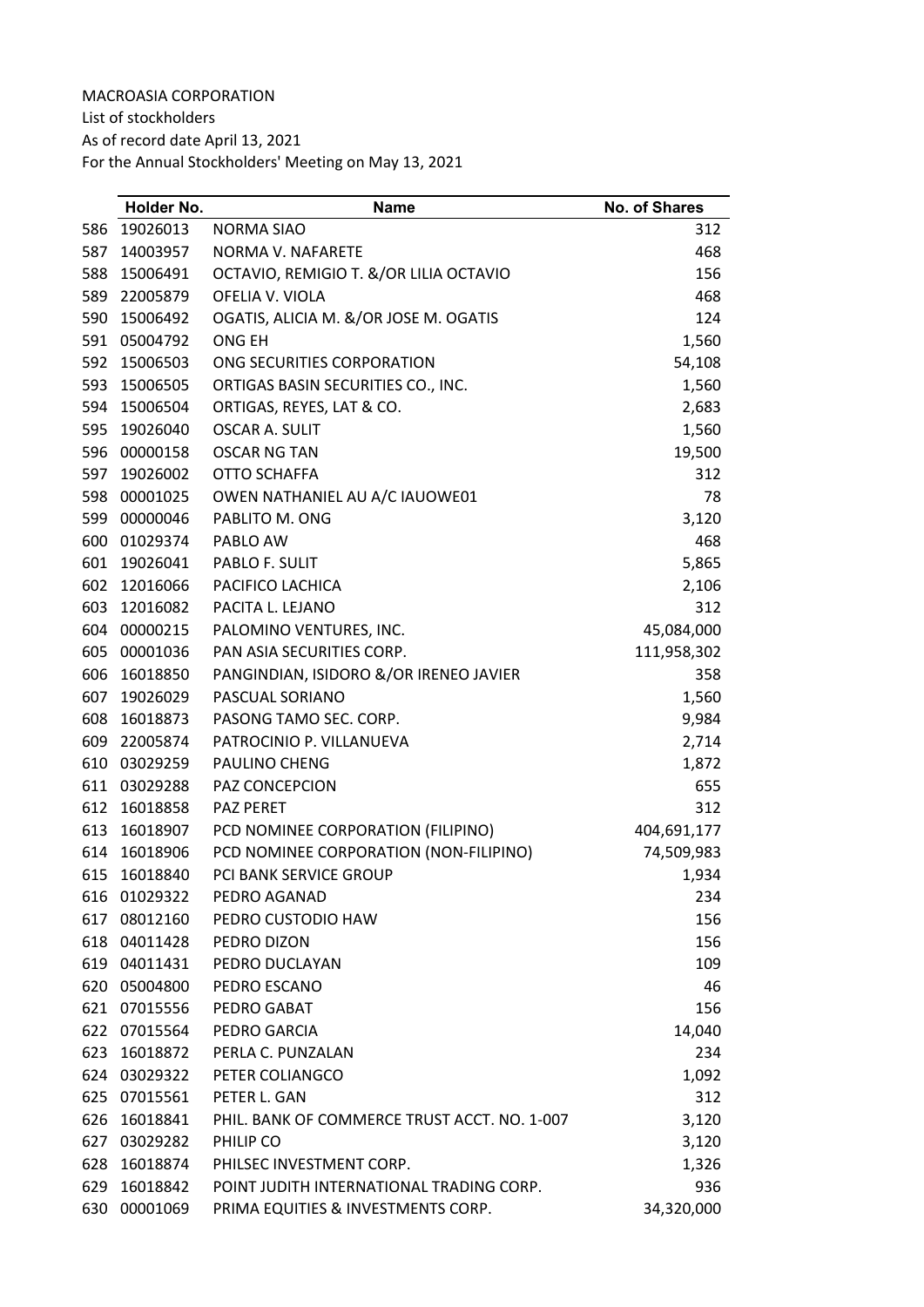List of stockholders As of record date April 13, 2021

|     | Holder No.   | <b>Name</b>                                  | <b>No. of Shares</b> |
|-----|--------------|----------------------------------------------|----------------------|
| 586 | 19026013     | <b>NORMA SIAO</b>                            | 312                  |
| 587 | 14003957     | NORMA V. NAFARETE                            | 468                  |
| 588 | 15006491     | OCTAVIO, REMIGIO T. &/OR LILIA OCTAVIO       | 156                  |
|     | 589 22005879 | OFELIA V. VIOLA                              | 468                  |
| 590 | 15006492     | OGATIS, ALICIA M. &/OR JOSE M. OGATIS        | 124                  |
|     | 591 05004792 | ONG EH                                       | 1,560                |
| 592 | 15006503     | ONG SECURITIES CORPORATION                   | 54,108               |
| 593 | 15006505     | ORTIGAS BASIN SECURITIES CO., INC.           | 1,560                |
|     | 594 15006504 | ORTIGAS, REYES, LAT & CO.                    | 2,683                |
| 595 | 19026040     | <b>OSCAR A. SULIT</b>                        | 1,560                |
| 596 | 00000158     | <b>OSCAR NG TAN</b>                          | 19,500               |
| 597 | 19026002     | OTTO SCHAFFA                                 | 312                  |
|     | 598 00001025 | OWEN NATHANIEL AU A/C IAUOWE01               | 78                   |
| 599 | 00000046     | PABLITO M. ONG                               | 3,120                |
| 600 | 01029374     | PABLO AW                                     | 468                  |
| 601 | 19026041     | PABLO F. SULIT                               | 5,865                |
| 602 | 12016066     | PACIFICO LACHICA                             | 2,106                |
| 603 | 12016082     | PACITA L. LEJANO                             | 312                  |
|     | 604 00000215 | PALOMINO VENTURES, INC.                      | 45,084,000           |
|     | 605 00001036 | PAN ASIA SECURITIES CORP.                    | 111,958,302          |
| 606 | 16018850     | PANGINDIAN, ISIDORO &/OR IRENEO JAVIER       | 358                  |
| 607 | 19026029     | PASCUAL SORIANO                              | 1,560                |
| 608 | 16018873     | PASONG TAMO SEC. CORP.                       | 9,984                |
| 609 | 22005874     | PATROCINIO P. VILLANUEVA                     | 2,714                |
| 610 | 03029259     | PAULINO CHENG                                | 1,872                |
|     | 611 03029288 | PAZ CONCEPCION                               | 655                  |
| 612 | 16018858     | PAZ PERET                                    | 312                  |
| 613 | 16018907     | PCD NOMINEE CORPORATION (FILIPINO)           | 404,691,177          |
| 614 | 16018906     | PCD NOMINEE CORPORATION (NON-FILIPINO)       | 74,509,983           |
| 615 | 16018840     | PCI BANK SERVICE GROUP                       | 1,934                |
|     | 616 01029322 | PEDRO AGANAD                                 | 234                  |
|     | 617 08012160 | PEDRO CUSTODIO HAW                           | 156                  |
|     | 618 04011428 | PEDRO DIZON                                  | 156                  |
|     | 619 04011431 | PEDRO DUCLAYAN                               | 109                  |
|     | 620 05004800 | PEDRO ESCANO                                 | 46                   |
|     | 621 07015556 | PEDRO GABAT                                  | 156                  |
|     | 622 07015564 | PEDRO GARCIA                                 | 14,040               |
| 623 | 16018872     | PERLA C. PUNZALAN                            | 234                  |
|     | 624 03029322 | PETER COLIANGCO                              | 1,092                |
|     | 625 07015561 | PETER L. GAN                                 | 312                  |
| 626 | 16018841     | PHIL. BANK OF COMMERCE TRUST ACCT. NO. 1-007 | 3,120                |
|     | 627 03029282 | PHILIP CO                                    | 3,120                |
| 628 | 16018874     | PHILSEC INVESTMENT CORP.                     | 1,326                |
| 629 | 16018842     | POINT JUDITH INTERNATIONAL TRADING CORP.     | 936                  |
|     | 630 00001069 | PRIMA EQUITIES & INVESTMENTS CORP.           | 34,320,000           |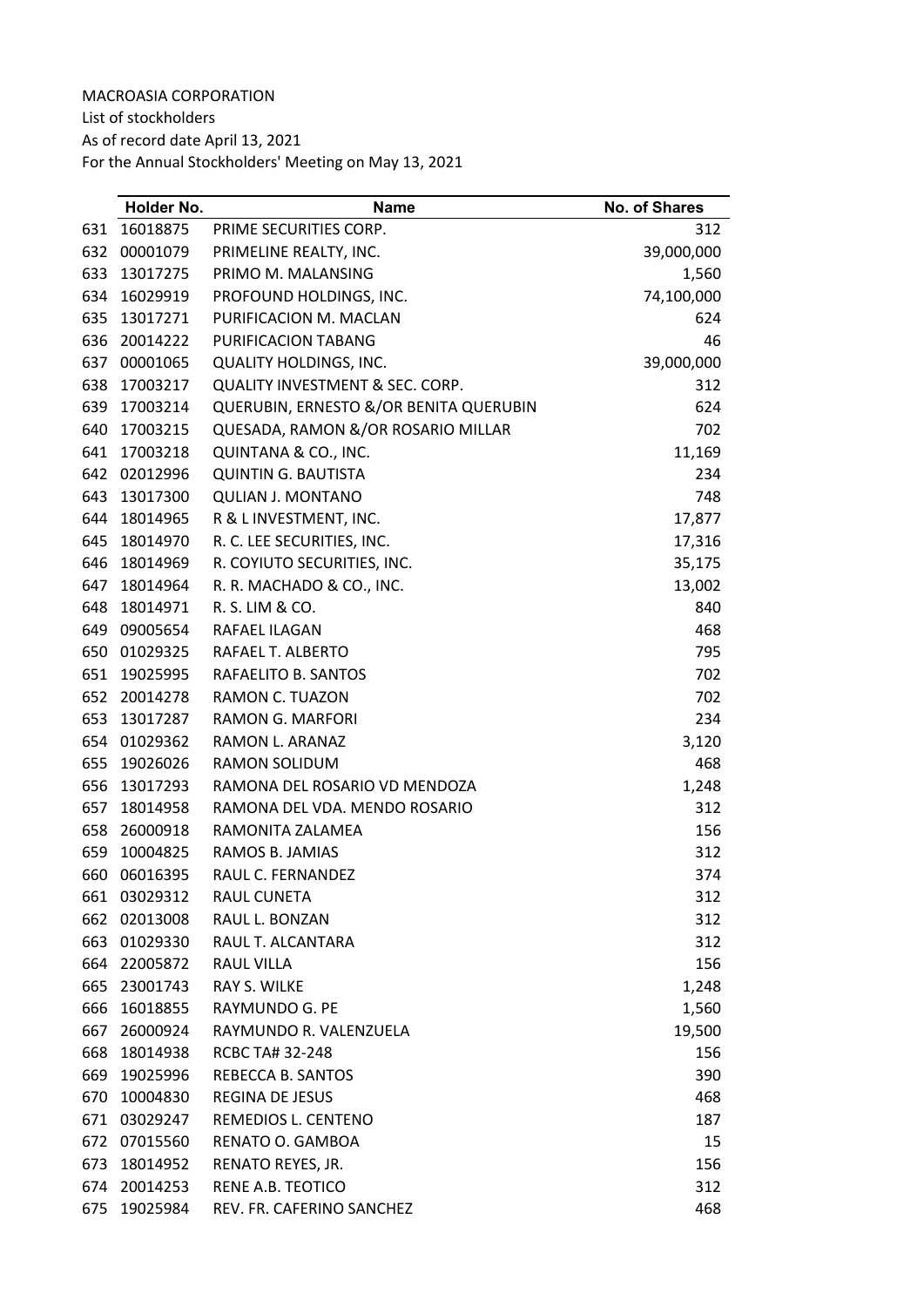List of stockholders

As of record date April 13, 2021

|     | Holder No.   | <b>Name</b>                                | No. of Shares |
|-----|--------------|--------------------------------------------|---------------|
| 631 | 16018875     | PRIME SECURITIES CORP.                     | 312           |
| 632 | 00001079     | PRIMELINE REALTY, INC.                     | 39,000,000    |
| 633 | 13017275     | PRIMO M. MALANSING                         | 1,560         |
| 634 | 16029919     | PROFOUND HOLDINGS, INC.                    | 74,100,000    |
| 635 | 13017271     | PURIFICACION M. MACLAN                     | 624           |
| 636 | 20014222     | PURIFICACION TABANG                        | 46            |
| 637 | 00001065     | <b>QUALITY HOLDINGS, INC.</b>              | 39,000,000    |
| 638 | 17003217     | <b>QUALITY INVESTMENT &amp; SEC. CORP.</b> | 312           |
| 639 | 17003214     | QUERUBIN, ERNESTO &/OR BENITA QUERUBIN     | 624           |
| 640 | 17003215     | QUESADA, RAMON &/OR ROSARIO MILLAR         | 702           |
| 641 | 17003218     | QUINTANA & CO., INC.                       | 11,169        |
| 642 | 02012996     | <b>QUINTIN G. BAUTISTA</b>                 | 234           |
| 643 | 13017300     | <b>QULIAN J. MONTANO</b>                   | 748           |
| 644 | 18014965     | R & L INVESTMENT, INC.                     | 17,877        |
| 645 | 18014970     | R. C. LEE SECURITIES, INC.                 | 17,316        |
| 646 | 18014969     | R. COYIUTO SECURITIES, INC.                | 35,175        |
| 647 | 18014964     | R. R. MACHADO & CO., INC.                  | 13,002        |
| 648 | 18014971     | R. S. LIM & CO.                            | 840           |
| 649 | 09005654     | RAFAEL ILAGAN                              | 468           |
| 650 | 01029325     | RAFAEL T. ALBERTO                          | 795           |
| 651 | 19025995     | RAFAELITO B. SANTOS                        | 702           |
| 652 | 20014278     | RAMON C. TUAZON                            | 702           |
| 653 | 13017287     | RAMON G. MARFORI                           | 234           |
| 654 | 01029362     | RAMON L. ARANAZ                            | 3,120         |
| 655 | 19026026     | <b>RAMON SOLIDUM</b>                       | 468           |
| 656 | 13017293     | RAMONA DEL ROSARIO VD MENDOZA              | 1,248         |
| 657 | 18014958     | RAMONA DEL VDA. MENDO ROSARIO              | 312           |
| 658 | 26000918     | RAMONITA ZALAMEA                           | 156           |
| 659 | 10004825     | RAMOS B. JAMIAS                            | 312           |
| 660 | 06016395     | RAUL C. FERNANDEZ                          | 374           |
|     | 661 03029312 | <b>RAUL CUNETA</b>                         | 312           |
|     | 662 02013008 | RAUL L. BONZAN                             | 312           |
| 663 | 01029330     | RAUL T. ALCANTARA                          | 312           |
|     | 664 22005872 | <b>RAUL VILLA</b>                          | 156           |
| 665 | 23001743     | <b>RAY S. WILKE</b>                        | 1,248         |
| 666 | 16018855     | RAYMUNDO G. PE                             | 1,560         |
| 667 | 26000924     | RAYMUNDO R. VALENZUELA                     | 19,500        |
| 668 | 18014938     | <b>RCBC TA# 32-248</b>                     | 156           |
| 669 | 19025996     | REBECCA B. SANTOS                          | 390           |
| 670 | 10004830     | REGINA DE JESUS                            | 468           |
| 671 | 03029247     | REMEDIOS L. CENTENO                        | 187           |
| 672 | 07015560     | RENATO O. GAMBOA                           | 15            |
| 673 | 18014952     | RENATO REYES, JR.                          | 156           |
| 674 | 20014253     | RENE A.B. TEOTICO                          | 312           |
| 675 | 19025984     | REV. FR. CAFERINO SANCHEZ                  | 468           |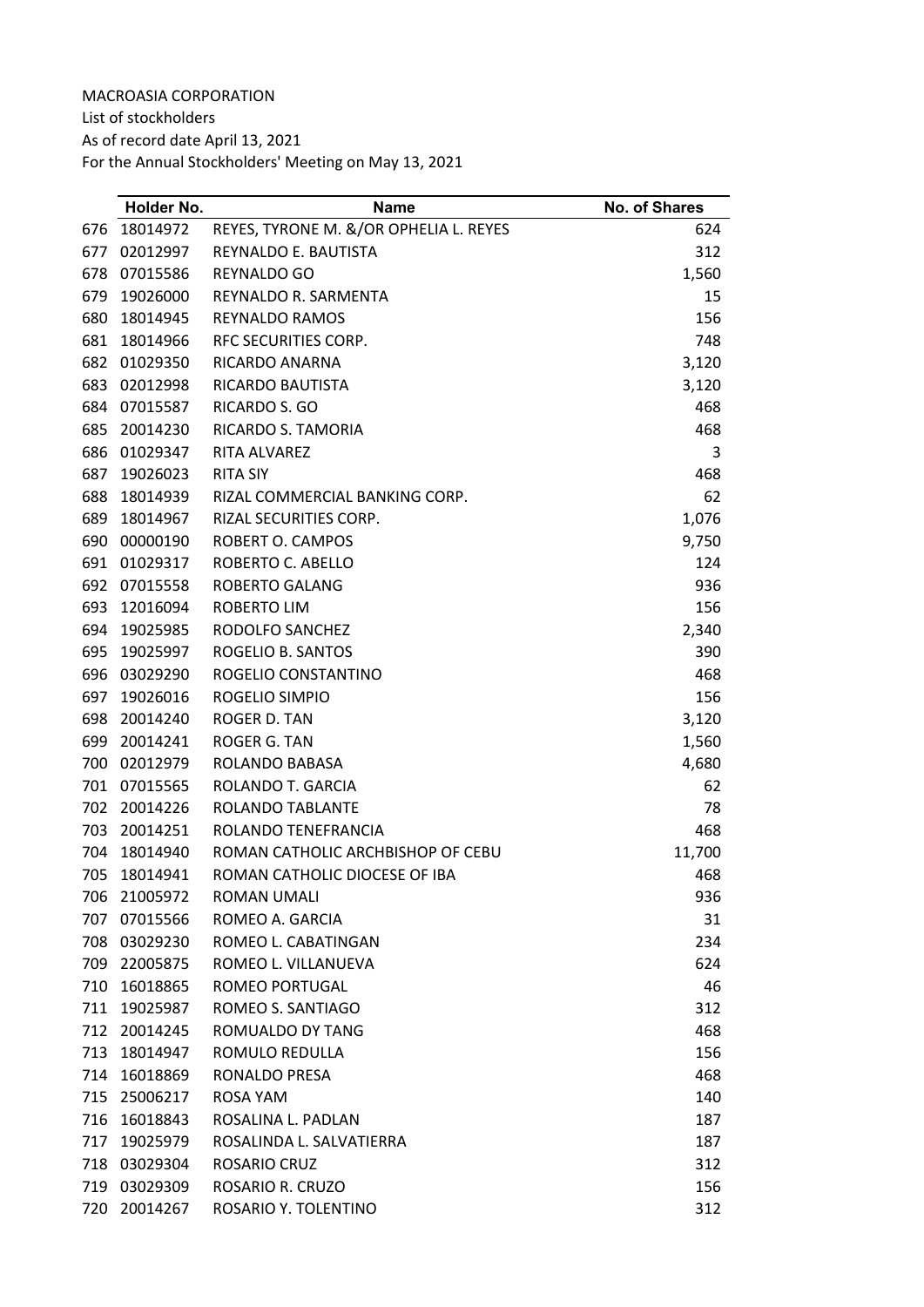List of stockholders

As of record date April 13, 2021

|     | Holder No. | <b>Name</b>                            | No. of Shares |
|-----|------------|----------------------------------------|---------------|
| 676 | 18014972   | REYES, TYRONE M. &/OR OPHELIA L. REYES | 624           |
| 677 | 02012997   | REYNALDO E. BAUTISTA                   | 312           |
| 678 | 07015586   | <b>REYNALDO GO</b>                     | 1,560         |
| 679 | 19026000   | REYNALDO R. SARMENTA                   | 15            |
| 680 | 18014945   | <b>REYNALDO RAMOS</b>                  | 156           |
| 681 | 18014966   | RFC SECURITIES CORP.                   | 748           |
| 682 | 01029350   | RICARDO ANARNA                         | 3,120         |
| 683 | 02012998   | RICARDO BAUTISTA                       | 3,120         |
| 684 | 07015587   | RICARDO S. GO                          | 468           |
| 685 | 20014230   | RICARDO S. TAMORIA                     | 468           |
| 686 | 01029347   | <b>RITA ALVAREZ</b>                    | 3             |
| 687 | 19026023   | <b>RITA SIY</b>                        | 468           |
| 688 | 18014939   | RIZAL COMMERCIAL BANKING CORP.         | 62            |
| 689 | 18014967   | RIZAL SECURITIES CORP.                 | 1,076         |
| 690 | 00000190   | ROBERT O. CAMPOS                       | 9,750         |
| 691 | 01029317   | ROBERTO C. ABELLO                      | 124           |
| 692 | 07015558   | <b>ROBERTO GALANG</b>                  | 936           |
| 693 | 12016094   | ROBERTO LIM                            | 156           |
| 694 | 19025985   | RODOLFO SANCHEZ                        | 2,340         |
| 695 | 19025997   | ROGELIO B. SANTOS                      | 390           |
| 696 | 03029290   | ROGELIO CONSTANTINO                    | 468           |
| 697 | 19026016   | ROGELIO SIMPIO                         | 156           |
| 698 | 20014240   | ROGER D. TAN                           | 3,120         |
| 699 | 20014241   | ROGER G. TAN                           | 1,560         |
| 700 | 02012979   | ROLANDO BABASA                         | 4,680         |
| 701 | 07015565   | ROLANDO T. GARCIA                      | 62            |
| 702 | 20014226   | ROLANDO TABLANTE                       | 78            |
| 703 | 20014251   | ROLANDO TENEFRANCIA                    | 468           |
| 704 | 18014940   | ROMAN CATHOLIC ARCHBISHOP OF CEBU      | 11,700        |
| 705 | 18014941   | ROMAN CATHOLIC DIOCESE OF IBA          | 468           |
| 706 | 21005972   | <b>ROMAN UMALI</b>                     | 936           |
| 707 | 07015566   | ROMEO A. GARCIA                        | 31            |
| 708 | 03029230   | ROMEO L. CABATINGAN                    | 234           |
| 709 | 22005875   | ROMEO L. VILLANUEVA                    | 624           |
| 710 | 16018865   | ROMEO PORTUGAL                         | 46            |
| 711 | 19025987   | ROMEO S. SANTIAGO                      | 312           |
| 712 | 20014245   | ROMUALDO DY TANG                       | 468           |
| 713 | 18014947   | ROMULO REDULLA                         | 156           |
| 714 | 16018869   | RONALDO PRESA                          | 468           |
| 715 | 25006217   | ROSA YAM                               | 140           |
| 716 | 16018843   | ROSALINA L. PADLAN                     | 187           |
| 717 | 19025979   | ROSALINDA L. SALVATIERRA               | 187           |
| 718 | 03029304   | ROSARIO CRUZ                           | 312           |
| 719 | 03029309   | ROSARIO R. CRUZO                       | 156           |
| 720 | 20014267   | ROSARIO Y. TOLENTINO                   | 312           |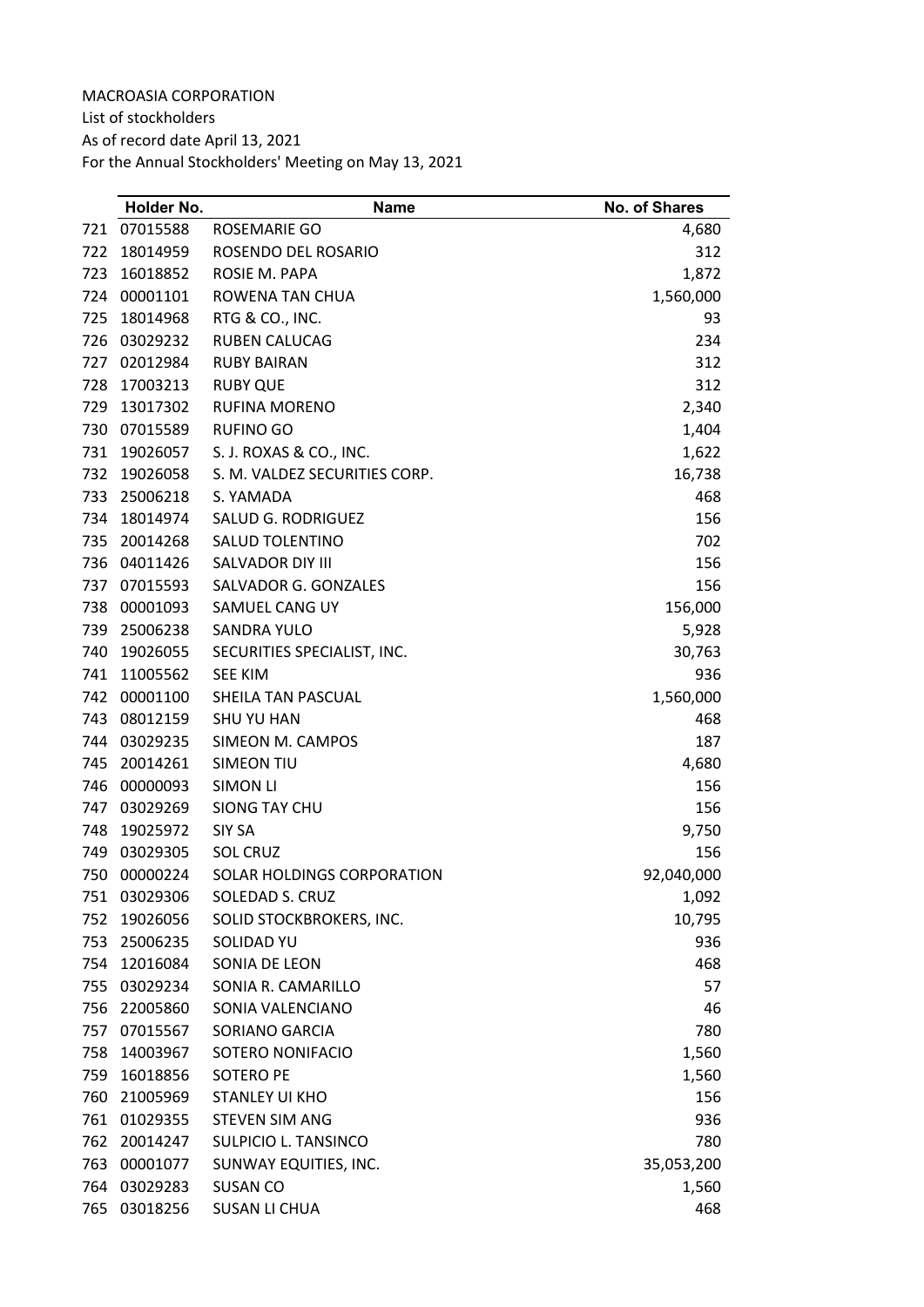List of stockholders As of record date April 13, 2021

|     | Holder No. | <b>Name</b>                   | <b>No. of Shares</b> |
|-----|------------|-------------------------------|----------------------|
| 721 | 07015588   | ROSEMARIE GO                  | 4,680                |
| 722 | 18014959   | ROSENDO DEL ROSARIO           | 312                  |
| 723 | 16018852   | ROSIE M. PAPA                 | 1,872                |
| 724 | 00001101   | ROWENA TAN CHUA               | 1,560,000            |
| 725 | 18014968   | RTG & CO., INC.               | 93                   |
| 726 | 03029232   | <b>RUBEN CALUCAG</b>          | 234                  |
| 727 | 02012984   | <b>RUBY BAIRAN</b>            | 312                  |
| 728 | 17003213   | <b>RUBY QUE</b>               | 312                  |
| 729 | 13017302   | <b>RUFINA MORENO</b>          | 2,340                |
| 730 | 07015589   | <b>RUFINO GO</b>              | 1,404                |
| 731 | 19026057   | S. J. ROXAS & CO., INC.       | 1,622                |
| 732 | 19026058   | S. M. VALDEZ SECURITIES CORP. | 16,738               |
| 733 | 25006218   | S. YAMADA                     | 468                  |
| 734 | 18014974   | SALUD G. RODRIGUEZ            | 156                  |
| 735 | 20014268   | <b>SALUD TOLENTINO</b>        | 702                  |
| 736 | 04011426   | SALVADOR DIY III              | 156                  |
| 737 | 07015593   | SALVADOR G. GONZALES          | 156                  |
| 738 | 00001093   | SAMUEL CANG UY                | 156,000              |
| 739 | 25006238   | <b>SANDRA YULO</b>            | 5,928                |
| 740 | 19026055   | SECURITIES SPECIALIST, INC.   | 30,763               |
| 741 | 11005562   | <b>SEE KIM</b>                | 936                  |
| 742 | 00001100   | SHEILA TAN PASCUAL            | 1,560,000            |
| 743 | 08012159   | <b>SHU YU HAN</b>             | 468                  |
| 744 | 03029235   | SIMEON M. CAMPOS              | 187                  |
| 745 | 20014261   | <b>SIMEON TIU</b>             | 4,680                |
| 746 | 00000093   | <b>SIMON LI</b>               | 156                  |
| 747 | 03029269   | SIONG TAY CHU                 | 156                  |
| 748 | 19025972   | SIY SA                        | 9,750                |
| 749 | 03029305   | <b>SOL CRUZ</b>               | 156                  |
| 750 | 00000224   | SOLAR HOLDINGS CORPORATION    | 92,040,000           |
| 751 | 03029306   | SOLEDAD S. CRUZ               | 1,092                |
| 752 | 19026056   | SOLID STOCKBROKERS, INC.      | 10,795               |
| 753 | 25006235   | SOLIDAD YU                    | 936                  |
| 754 | 12016084   | SONIA DE LEON                 | 468                  |
| 755 | 03029234   | SONIA R. CAMARILLO            | 57                   |
| 756 | 22005860   | SONIA VALENCIANO              | 46                   |
| 757 | 07015567   | SORIANO GARCIA                | 780                  |
| 758 | 14003967   | SOTERO NONIFACIO              | 1,560                |
| 759 | 16018856   | <b>SOTERO PE</b>              | 1,560                |
| 760 | 21005969   | <b>STANLEY UI KHO</b>         | 156                  |
| 761 | 01029355   | <b>STEVEN SIM ANG</b>         | 936                  |
| 762 | 20014247   | SULPICIO L. TANSINCO          | 780                  |
| 763 | 00001077   | SUNWAY EQUITIES, INC.         | 35,053,200           |
| 764 | 03029283   | <b>SUSAN CO</b>               | 1,560                |
| 765 | 03018256   | <b>SUSAN LI CHUA</b>          | 468                  |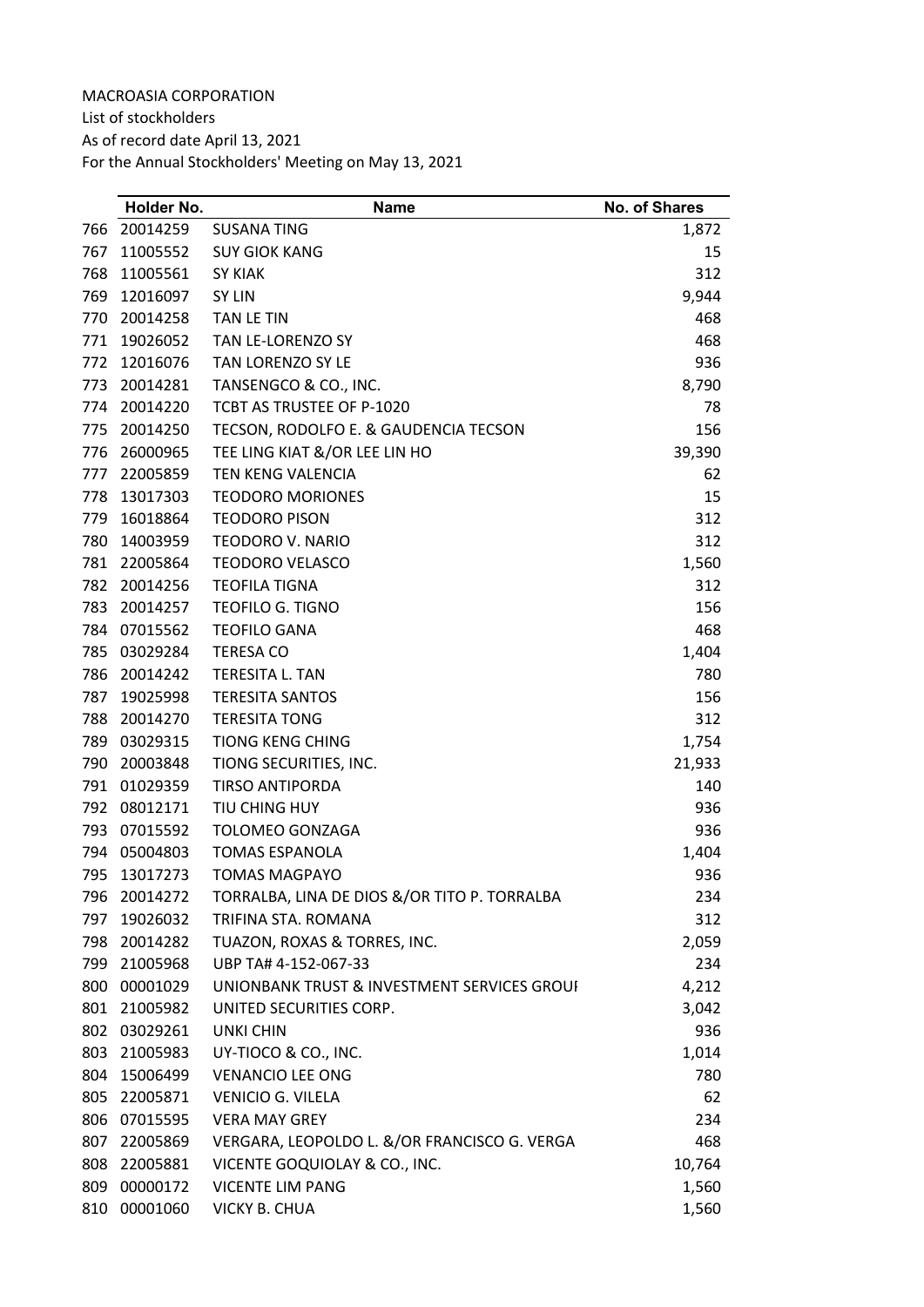MACROASIA CORPORATION List of stockholders As of record date April 13, 2021 For the Annual Stockholders' Meeting on May 13, 2021

|     | Holder No.   | <b>Name</b>                                  | <b>No. of Shares</b> |
|-----|--------------|----------------------------------------------|----------------------|
| 766 | 20014259     | <b>SUSANA TING</b>                           | 1,872                |
| 767 | 11005552     | <b>SUY GIOK KANG</b>                         | 15                   |
| 768 | 11005561     | <b>SY KIAK</b>                               | 312                  |
| 769 | 12016097     | SY LIN                                       | 9,944                |
| 770 | 20014258     | TAN LE TIN                                   | 468                  |
| 771 | 19026052     | TAN LE-LORENZO SY                            | 468                  |
| 772 | 12016076     | TAN LORENZO SY LE                            | 936                  |
| 773 | 20014281     | TANSENGCO & CO., INC.                        | 8,790                |
| 774 | 20014220     | TCBT AS TRUSTEE OF P-1020                    | 78                   |
| 775 | 20014250     | TECSON, RODOLFO E. & GAUDENCIA TECSON        | 156                  |
| 776 | 26000965     | TEE LING KIAT &/OR LEE LIN HO                | 39,390               |
| 777 | 22005859     | TEN KENG VALENCIA                            | 62                   |
| 778 | 13017303     | <b>TEODORO MORIONES</b>                      | 15                   |
| 779 | 16018864     | <b>TEODORO PISON</b>                         | 312                  |
| 780 | 14003959     | <b>TEODORO V. NARIO</b>                      | 312                  |
| 781 | 22005864     | <b>TEODORO VELASCO</b>                       | 1,560                |
| 782 | 20014256     | <b>TEOFILA TIGNA</b>                         | 312                  |
| 783 | 20014257     | <b>TEOFILO G. TIGNO</b>                      | 156                  |
| 784 | 07015562     | <b>TEOFILO GANA</b>                          | 468                  |
| 785 | 03029284     | <b>TERESA CO</b>                             | 1,404                |
| 786 | 20014242     | TERESITA L. TAN                              | 780                  |
| 787 | 19025998     | <b>TERESITA SANTOS</b>                       | 156                  |
| 788 | 20014270     | <b>TERESITA TONG</b>                         | 312                  |
| 789 | 03029315     | <b>TIONG KENG CHING</b>                      | 1,754                |
| 790 | 20003848     | TIONG SECURITIES, INC.                       | 21,933               |
| 791 | 01029359     | <b>TIRSO ANTIPORDA</b>                       | 140                  |
| 792 | 08012171     | TIU CHING HUY                                | 936                  |
| 793 | 07015592     | <b>TOLOMEO GONZAGA</b>                       | 936                  |
| 794 | 05004803     | <b>TOMAS ESPANOLA</b>                        | 1,404                |
| 795 | 13017273     | <b>TOMAS MAGPAYO</b>                         | 936                  |
| 796 | 20014272     | TORRALBA, LINA DE DIOS &/OR TITO P. TORRALBA | 234                  |
| 797 | 19026032     | TRIFINA STA. ROMANA                          | 312                  |
| 798 | 20014282     | TUAZON, ROXAS & TORRES, INC.                 | 2,059                |
|     | 799 21005968 | UBP TA# 4-152-067-33                         | 234                  |
|     | 800 00001029 | UNIONBANK TRUST & INVESTMENT SERVICES GROUI  | 4,212                |
| 801 | 21005982     | UNITED SECURITIES CORP.                      | 3,042                |
|     | 802 03029261 | <b>UNKI CHIN</b>                             | 936                  |
|     | 803 21005983 | UY-TIOCO & CO., INC.                         | 1,014                |
|     | 804 15006499 | <b>VENANCIO LEE ONG</b>                      | 780                  |
| 805 | 22005871     | VENICIO G. VILELA                            | 62                   |
| 806 | 07015595     | <b>VERA MAY GREY</b>                         | 234                  |
| 807 | 22005869     | VERGARA, LEOPOLDO L. &/OR FRANCISCO G. VERGA | 468                  |
| 808 | 22005881     | VICENTE GOQUIOLAY & CO., INC.                | 10,764               |
| 809 | 00000172     | <b>VICENTE LIM PANG</b>                      | 1,560                |
| 810 | 00001060     | <b>VICKY B. CHUA</b>                         | 1,560                |